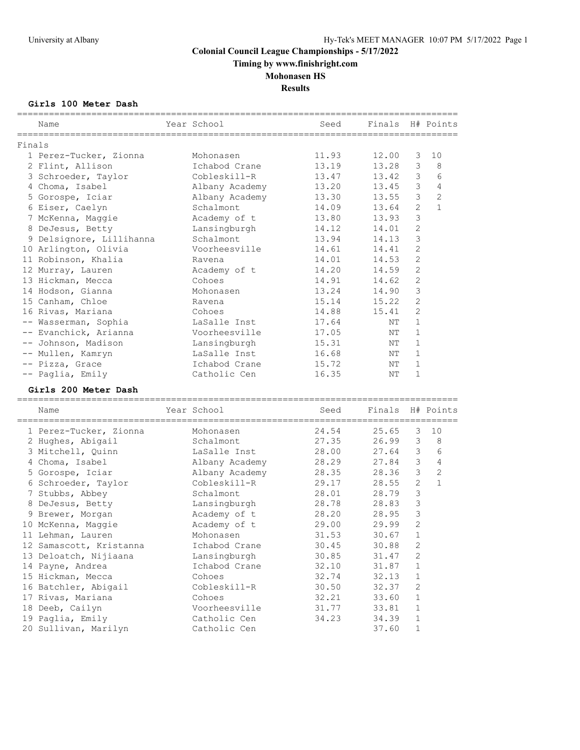**Timing by www.finishright.com**

## **Mohonasen HS**

**Results**

#### **Girls 100 Meter Dash**

|        | Name                     | Year School    | Seed  | Finals |                | H# Points      |
|--------|--------------------------|----------------|-------|--------|----------------|----------------|
| Finals |                          |                |       |        |                |                |
|        | 1 Perez-Tucker, Zionna   | Mohonasen      | 11.93 | 12.00  | 3              | 10             |
|        | 2 Flint, Allison         | Ichabod Crane  | 13.19 | 13.28  | 3              | 8              |
|        | 3 Schroeder, Taylor      | Cobleskill-R   | 13.47 | 13.42  | 3              | 6              |
|        | 4 Choma, Isabel          | Albany Academy | 13.20 | 13.45  | 3              | $\overline{4}$ |
|        | 5 Gorospe, Iciar         | Albany Academy | 13.30 | 13.55  | $\mathfrak{Z}$ | $\overline{c}$ |
|        | 6 Eiser, Caelyn          | Schalmont      | 14.09 | 13.64  | $\overline{c}$ | $\mathbf{1}$   |
|        | 7 McKenna, Maggie        | Academy of t   | 13.80 | 13.93  | 3              |                |
|        | 8 DeJesus, Betty         | Lansingburgh   | 14.12 | 14.01  | $\overline{c}$ |                |
|        | 9 Delsignore, Lillihanna | Schalmont      | 13.94 | 14.13  | 3              |                |
|        | 10 Arlington, Olivia     | Voorheesville  | 14.61 | 14.41  | $\overline{c}$ |                |
|        | 11 Robinson, Khalia      | Ravena         | 14.01 | 14.53  | $\mathbf{2}$   |                |
|        |                          |                | 14.20 |        | $\mathbf{2}$   |                |
|        | 12 Murray, Lauren        | Academy of t   |       | 14.59  | $\mathbf{2}$   |                |
|        | 13 Hickman, Mecca        | Cohoes         | 14.91 | 14.62  |                |                |
|        | 14 Hodson, Gianna        | Mohonasen      | 13.24 | 14.90  | 3              |                |
|        | 15 Canham, Chloe         | Ravena         | 15.14 | 15.22  | $\mathbf{2}$   |                |
|        | 16 Rivas, Mariana        | Cohoes         | 14.88 | 15.41  | $\mathbf{2}$   |                |
|        | -- Wasserman, Sophia     | LaSalle Inst   | 17.64 | ΝT     | $\mathbf{1}$   |                |
|        | -- Evanchick, Arianna    | Voorheesville  | 17.05 | NΤ     | $\mathbf{1}$   |                |
|        | -- Johnson, Madison      | Lansingburgh   | 15.31 | NΤ     | $\mathbf{1}$   |                |
|        | -- Mullen, Kamryn        | LaSalle Inst   | 16.68 | ΝT     | $\mathbf 1$    |                |
|        | -- Pizza, Grace          | Ichabod Crane  | 15.72 | NΤ     | $\mathbf{1}$   |                |
|        | -- Paglia, Emily         | Catholic Cen   | 16.35 | NΤ     | $\mathbf{1}$   |                |
|        | Girls 200 Meter Dash     |                |       |        |                |                |
|        | Name                     | Year School    | Seed  | Finals |                | H# Points      |
|        | 1 Perez-Tucker, Zionna   | Mohonasen      | 24.54 | 25.65  | 3              | 10             |
|        | 2 Hughes, Abigail        | Schalmont      | 27.35 | 26.99  | $\mathfrak{Z}$ | 8              |
|        | 3 Mitchell, Quinn        | LaSalle Inst   | 28.00 | 27.64  | 3              | 6              |
|        | 4 Choma, Isabel          | Albany Academy | 28.29 | 27.84  | 3              | $\overline{4}$ |
|        | 5 Gorospe, Iciar         | Albany Academy | 28.35 | 28.36  | 3              | $\mathbf{2}$   |
|        | 6 Schroeder, Taylor      | Cobleskill-R   | 29.17 | 28.55  | $\mathbf{2}$   | $\mathbf{1}$   |
|        | 7 Stubbs, Abbey          | Schalmont      | 28.01 | 28.79  | 3              |                |
|        | 8 DeJesus, Betty         | Lansingburgh   | 28.78 | 28.83  | $\mathsf 3$    |                |
|        | 9 Brewer, Morgan         | Academy of t   | 28.20 | 28.95  | 3              |                |
|        | 10 McKenna, Maggie       | Academy of t   | 29.00 | 29.99  | $\overline{2}$ |                |
|        | 11 Lehman, Lauren        | Mohonasen      | 31.53 | 30.67  | 1              |                |
|        | 12 Samascott, Kristanna  | Ichabod Crane  | 30.45 | 30.88  | 2              |                |
|        | 13 Deloatch, Nijiaana    |                |       |        | $\sqrt{2}$     |                |
|        | 14 Payne, Andrea         | Lansingburgh   | 30.85 | 31.47  | $\mathbf 1$    |                |
|        |                          | Ichabod Crane  | 32.10 | 31.87  | $\mathbf 1$    |                |
|        | 15 Hickman, Mecca        | Cohoes         | 32.74 | 32.13  | $\sqrt{2}$     |                |
|        | 16 Batchler, Abigail     | Cobleskill-R   | 30.50 | 32.37  |                |                |
|        | 17 Rivas, Mariana        | Cohoes         | 32.21 | 33.60  | $\mathbf{1}$   |                |
|        | 18 Deeb, Cailyn          | Voorheesville  | 31.77 | 33.81  | $\mathbf{1}$   |                |

 19 Paglia, Emily Catholic Cen 34.23 34.39 1 20 Sullivan, Marilyn Catholic Cen 37.60 1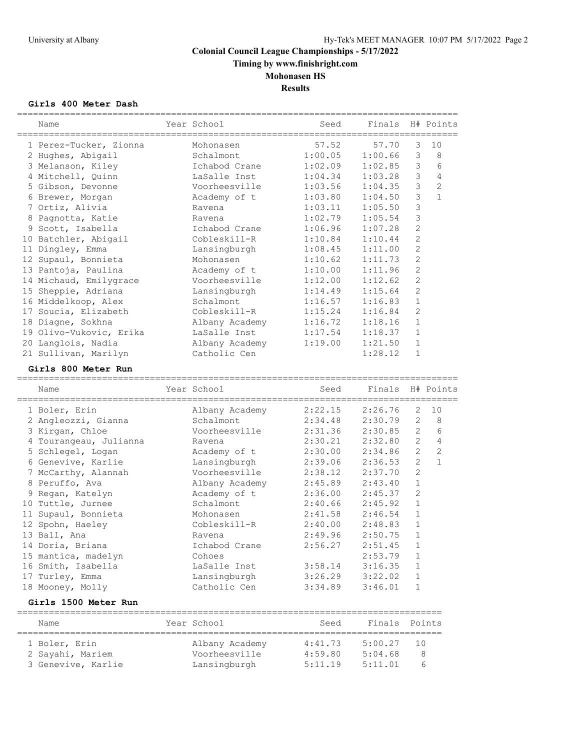**Timing by www.finishright.com**

# **Mohonasen HS**

**Results**

## **Girls 400 Meter Dash**

| Name<br>________                         | Year School                   | Seed               | Finals             |                                | H# Points      |
|------------------------------------------|-------------------------------|--------------------|--------------------|--------------------------------|----------------|
| 1 Perez-Tucker, Zionna                   | Mohonasen                     | 57.52              | 57.70              | 3                              | 10             |
| 2 Hughes, Abigail                        | Schalmont                     | 1:00.05            | 1:00.66            | $\mathcal{S}$                  | 8              |
| 3 Melanson, Kiley                        | Ichabod Crane                 | 1:02.09            | 1:02.85            | 3                              | 6              |
| 4 Mitchell, Quinn                        | LaSalle Inst                  | 1:04.34            | 1:03.28            | 3                              | $\overline{4}$ |
| 5 Gibson, Devonne                        | Voorheesville                 | 1:03.56            | 1:04.35            | 3                              | $\overline{c}$ |
| 6 Brewer, Morgan                         | Academy of t                  | 1:03.80            | 1:04.50            | 3                              | $\mathbf{1}$   |
| 7 Ortiz, Alivia                          | Ravena                        | 1:03.11            | 1:05.50            | 3                              |                |
| 8 Pagnotta, Katie                        | Ravena                        | 1:02.79            | 1:05.54            | $\mathfrak{Z}$                 |                |
| 9 Scott, Isabella                        | Ichabod Crane                 | 1:06.96            | 1:07.28            | $\mathbf{2}$                   |                |
| 10 Batchler, Abigail                     | Cobleskill-R                  | 1:10.84            | 1:10.44            | 2                              |                |
| 11 Dingley, Emma                         | Lansingburgh                  | 1:08.45            | 1:11.00            | $\mathbf{2}$                   |                |
| 12 Supaul, Bonnieta                      | Mohonasen                     | 1:10.62            | 1:11.73            | $\overline{c}$                 |                |
| 13 Pantoja, Paulina                      | Academy of t                  | 1:10.00            | 1:11.96            | $\overline{c}$                 |                |
| 14 Michaud, Emilygrace                   | Voorheesville                 | 1:12.00            | 1:12.62            | $\overline{c}$                 |                |
| 15 Sheppie, Adriana                      | Lansingburgh                  | 1:14.49            | 1:15.64            | $\overline{2}$                 |                |
| 16 Middelkoop, Alex                      | Schalmont                     | 1:16.57            | 1:16.83            | $\mathbf{1}$                   |                |
| 17 Soucia, Elizabeth                     | Cobleskill-R                  | 1:15.24            | 1:16.84            | $\overline{c}$                 |                |
| 18 Diagne, Sokhna                        | Albany Academy                | 1:16.72            | 1:18.16            | $\mathbf{1}$                   |                |
| 19 Olivo-Vukovic, Erika                  | LaSalle Inst                  | 1:17.54            | 1:18.37            | $\mathbf{1}$                   |                |
| 20 Langlois, Nadia                       | Albany Academy                | 1:19.00            | 1:21.50            | $\mathbf{1}$                   |                |
| 21 Sullivan, Marilyn                     | Catholic Cen                  |                    | 1:28.12            | $\mathbf{1}$                   |                |
| Girls 800 Meter Run                      |                               |                    |                    |                                |                |
| Name                                     | Year School                   | Seed               | Finals             |                                | H# Points      |
|                                          |                               |                    |                    |                                |                |
|                                          |                               |                    |                    |                                |                |
| 1 Boler, Erin                            | Albany Academy                | 2:22.15            | 2:26.76            | 2                              | 10             |
| 2 Angleozzi, Gianna                      | Schalmont                     | 2:34.48            | 2:30.79            | 2                              | 8              |
| 3 Kirgan, Chloe                          | Voorheesville                 | 2:31.36            | 2:30.85            | $\overline{2}$                 | 6              |
| 4 Tourangeau, Julianna                   | Ravena                        | 2:30.21            | 2:32.80            | $\overline{2}$                 | $\overline{4}$ |
| 5 Schlegel, Logan                        | Academy of t                  | 2:30.00            | 2:34.86            | $\overline{2}$                 | $\overline{2}$ |
| 6 Genevive, Karlie                       | Lansingburgh                  | 2:39.06            | 2:36.53            | $\overline{2}$                 | $\mathbf{1}$   |
| 7 McCarthy, Alannah                      | Voorheesville                 | 2:38.12            | 2:37.70            | $\overline{c}$                 |                |
| 8 Peruffo, Ava                           | Albany Academy                | 2:45.89            | 2:43.40            | $\mathbf{1}$                   |                |
| 9 Regan, Katelyn                         | Academy of t<br>Schalmont     | 2:36.00            | 2:45.37            | $\overline{c}$<br>$\mathbf{1}$ |                |
| 10 Tuttle, Jurnee                        | Mohonasen                     | 2:40.66            | 2:45.92            | $\mathbf{1}$                   |                |
| 11 Supaul, Bonnieta                      | Cobleskill-R                  | 2:41.58<br>2:40.00 | 2:46.54            | $\mathbf{1}$                   |                |
| 12 Spohn, Haeley                         | Ravena                        |                    | 2:48.83<br>2:50.75 | $\mathbf{1}$                   |                |
| 13 Ball, Ana                             | Ichabod Crane                 | 2:49.96            |                    | 1                              |                |
| 14 Doria, Briana                         | Cohoes                        | 2:56.27            | 2:51.45            | 1                              |                |
| 15 mantica, madelyn                      | LaSalle Inst                  |                    | 2:53.79            | $\mathbf{1}$                   |                |
| 16 Smith, Isabella                       |                               | 3:58.14            | 3:16.35            | $\mathbf{1}$                   |                |
| 17 Turley, Emma                          | Lansingburgh<br>Catholic Cen  | 3:26.29<br>3:34.89 | 3:22.02<br>3:46.01 | $\mathbf{1}$                   |                |
| 18 Mooney, Molly<br>Girls 1500 Meter Run |                               |                    |                    |                                |                |
|                                          |                               |                    |                    |                                |                |
| Name                                     | Year School                   | Seed               | Finals             |                                | Points         |
| 1 Boler, Erin                            | Albany Academy                | 4:41.73            | 5:00.27            | 10                             |                |
| 2 Sayahi, Mariem<br>3 Genevive, Karlie   | Voorheesville<br>Lansingburgh | 4:59.80<br>5:11.19 | 5:04.68<br>5:11.01 |                                | 8<br>6         |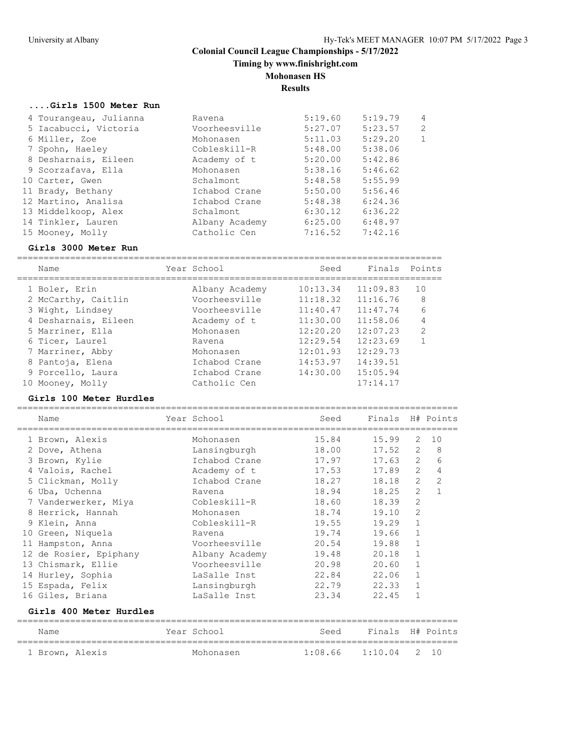**Timing by www.finishright.com**

## **Mohonasen HS**

**Results**

## **....Girls 1500 Meter Run**

| 4 Tourangeau, Julianna | Ravena         | 5:19.60 | 5:19.79 | $\overline{4}$ |
|------------------------|----------------|---------|---------|----------------|
| 5 Iacabucci, Victoria  | Voorheesville  | 5:27.07 | 5:23.57 | 2              |
| 6 Miller, Zoe          | Mohonasen      | 5:11.03 | 5:29.20 | 1              |
| 7 Spohn, Haeley        | Cobleskill-R   | 5:48.00 | 5:38.06 |                |
| 8 Desharnais, Eileen   | Academy of t   | 5:20.00 | 5:42.86 |                |
| 9 Scorzafava, Ella     | Mohonasen      | 5:38.16 | 5:46.62 |                |
| 10 Carter, Gwen        | Schalmont      | 5:48.58 | 5:55.99 |                |
| 11 Brady, Bethany      | Ichabod Crane  | 5:50.00 | 5:56.46 |                |
| 12 Martino, Analisa    | Ichabod Crane  | 5:48.38 | 6:24.36 |                |
| 13 Middelkoop, Alex    | Schalmont      | 6:30.12 | 6:36.22 |                |
| 14 Tinkler, Lauren     | Albany Academy | 6:25.00 | 6:48.97 |                |
| 15 Mooney, Molly       | Catholic Cen   | 7:16.52 | 7:42.16 |                |

#### **Girls 3000 Meter Run**

================================================================================

|    | Name                 | Year School    | Seed     | Finals   | Points         |
|----|----------------------|----------------|----------|----------|----------------|
|    | 1 Boler, Erin        | Albany Academy | 10:13.34 | 11:09.83 | 10             |
|    | 2 McCarthy, Caitlin  | Voorheesville  | 11:18.32 | 11:16.76 | 8              |
|    | 3 Wight, Lindsey     | Voorheesville  | 11:40.47 | 11:47.74 | 6              |
|    | 4 Desharnais, Eileen | Academy of t   | 11:30.00 | 11:58.06 | 4              |
|    | 5 Marriner, Ella     | Mohonasen      | 12:20.20 | 12:07.23 | $\overline{2}$ |
|    | 6 Ticer, Laurel      | Ravena         | 12:29.54 | 12:23.69 |                |
|    | 7 Marriner, Abby     | Mohonasen      | 12:01.93 | 12:29.73 |                |
|    | 8 Pantoja, Elena     | Ichabod Crane  | 14:53.97 | 14:39.51 |                |
|    | 9 Porcello, Laura    | Ichabod Crane  | 14:30.00 | 15:05.94 |                |
| 10 | Mooney, Molly        | Catholic Cen   |          | 17:14.17 |                |
|    |                      |                |          |          |                |

## **Girls 100 Meter Hurdles**

| Name<br>================ | Year School    | Seed<br>===================== |           |                | Finals H# Points |
|--------------------------|----------------|-------------------------------|-----------|----------------|------------------|
| 1 Brown, Alexis          | Mohonasen      | 15.84                         | 15.99     | 2              | 10               |
| 2 Dove, Athena           | Lansingburgh   | 18.00                         | 17.52     | 2              | 8                |
| 3 Brown, Kylie           | Ichabod Crane  | 17.97                         | $17.63$ 2 |                | 6                |
| 4 Valois, Rachel         | Academy of t   | 17.53                         | 17.89     | $\overline{2}$ | $\overline{4}$   |
| 5 Clickman, Molly        | Ichabod Crane  | 18.27                         | 18.18     | $\overline{2}$ | $\overline{c}$   |
| 6 Uba, Uchenna           | Ravena         | 18.94                         | 18.25     | $\overline{2}$ | $\mathbf{1}$     |
| 7 Vanderwerker, Miya     | Cobleskill-R   | 18.60                         | 18.39     | $\overline{c}$ |                  |
| 8 Herrick, Hannah        | Mohonasen      | 18.74                         | 19.10     | $\overline{2}$ |                  |
| 9 Klein, Anna            | Cobleskill-R   | 19.55                         | 19.29     | $\mathbf{1}$   |                  |
| 10 Green, Niquela        | Ravena         | 19.74                         | 19.66     | $\mathbf 1$    |                  |
| 11 Hampston, Anna        | Voorheesville  | 20.54                         | 19.88     | $\mathbf{1}$   |                  |
| 12 de Rosier, Epiphany   | Albany Academy | 19.48                         | 20.18     | $\mathbf{1}$   |                  |
| 13 Chismark, Ellie       | Voorheesville  | 20.98                         | 20.60     | $\mathbf{1}$   |                  |
| 14 Hurley, Sophia        | LaSalle Inst   | 22.84                         | 22.06     | $\mathbf{1}$   |                  |
| 15 Espada, Felix         | Lansingburgh   | 22.79                         | 22.33     | $\mathbf{1}$   |                  |
| 16 Giles, Briana         | LaSalle Inst   | 23.34                         | 22.45     | 1              |                  |
| Girls 400 Meter Hurdles  |                |                               |           |                |                  |

| Name            | Year School | Seed                     | Finals H# Points |  |
|-----------------|-------------|--------------------------|------------------|--|
| 1 Brown, Alexis | Mohonasen   | $1:08.66$ $1:10.04$ 2 10 |                  |  |
|                 |             |                          |                  |  |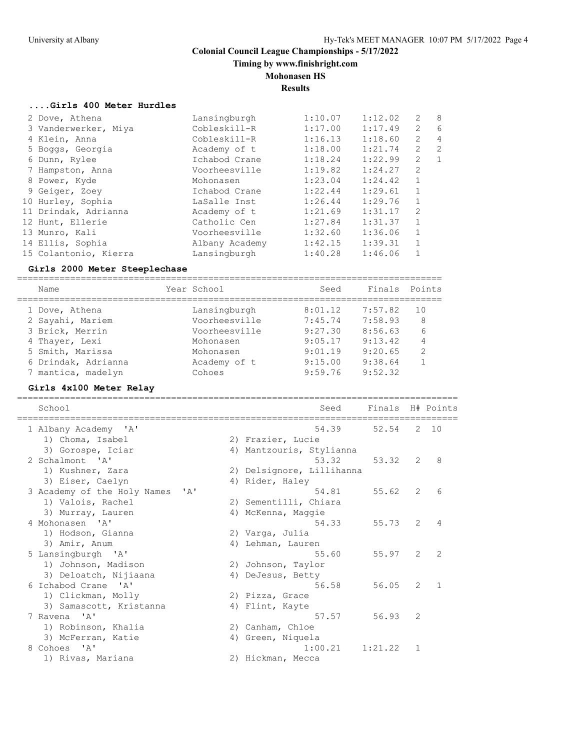**Timing by www.finishright.com**

## **Mohonasen HS**

**Results**

## **....Girls 400 Meter Hurdles**

| 2 Dove, Athena        | Lansingburgh   | 1:10.07 | 1:12.02 | 2              | - 8            |
|-----------------------|----------------|---------|---------|----------------|----------------|
| 3 Vanderwerker, Miya  | Cobleskill-R   | 1:17.00 | 1:17.49 | 2              | 6              |
| 4 Klein, Anna         | Cobleskill-R   | 1:16.13 | 1:18.60 | $\overline{2}$ | $\overline{4}$ |
| 5 Boggs, Georgia      | Academy of t   | 1:18.00 | 1:21.74 | $\overline{2}$ | 2              |
| 6 Dunn, Rylee         | Ichabod Crane  | 1:18.24 | 1:22.99 | $\overline{2}$ | 1              |
| 7 Hampston, Anna      | Voorheesville  | 1:19.82 | 1:24.27 | 2              |                |
| 8 Power, Kyde         | Mohonasen      | 1:23.04 | 1:24.42 | 1              |                |
| 9 Geiger, Zoey        | Ichabod Crane  | 1:22.44 | 1:29.61 |                |                |
| 10 Hurley, Sophia     | LaSalle Inst   | 1:26.44 | 1:29.76 | $\mathbf{1}$   |                |
| 11 Drindak, Adrianna  | Academy of t   | 1:21.69 | 1:31.17 | 2              |                |
| 12 Hunt, Ellerie      | Catholic Cen   | 1:27.84 | 1:31.37 | 1              |                |
| 13 Munro, Kali        | Voorheesville  | 1:32.60 | 1:36.06 | $\mathbf{1}$   |                |
| 14 Ellis, Sophia      | Albany Academy | 1:42.15 | 1:39.31 | $\mathbf{1}$   |                |
| 15 Colantonio, Kierra | Lansingburgh   | 1:40.28 | 1:46.06 |                |                |
|                       |                |         |         |                |                |

#### **Girls 2000 Meter Steeplechase**

================================================================================

| Name                | Year School   | Seed    | Finals  | Points |
|---------------------|---------------|---------|---------|--------|
| 1 Dove, Athena      | Lansingburgh  | 8:01.12 | 7:57.82 | 10     |
| 2 Sayahi, Mariem    | Voorheesville | 7:45.74 | 7:58.93 | 8      |
| 3 Brick, Merrin     | Voorheesville | 9:27.30 | 8:56.63 | 6      |
| 4 Thayer, Lexi      | Mohonasen     | 9:05.17 | 9:13.42 | 4      |
| 5 Smith, Marissa    | Mohonasen     | 9:01.19 | 9:20.65 | 2      |
| 6 Drindak, Adrianna | Academy of t  | 9:15.00 | 9:38.64 |        |
| 7 mantica, madelyn  | Cohoes        | 9:59.76 | 9:52.32 |        |

## **Girls 4x100 Meter Relay**

| School                              | Seed                      | Finals  |                | H# Points     |
|-------------------------------------|---------------------------|---------|----------------|---------------|
| 1 Albany Academy 'A'                | 54.39                     | 52.54   |                | 2 10          |
| 1) Choma, Isabel                    | 2) Frazier, Lucie         |         |                |               |
| 3) Gorospe, Iciar                   | 4) Mantzouris, Stylianna  |         |                |               |
| 2 Schalmont. 'A'                    | 53.32                     | 53.32   | $\overline{2}$ | 8             |
| 1) Kushner, Zara                    | 2) Delsignore, Lillihanna |         |                |               |
| 3) Eiser, Caelyn                    | 4) Rider, Haley           |         |                |               |
| 3 Academy of the Holy Names<br>' A' | 54.81                     | 55.62   | $\overline{2}$ | 6             |
| 1) Valois, Rachel                   | 2) Sementilli, Chiara     |         |                |               |
| 3) Murray, Lauren                   | 4) McKenna, Maggie        |         |                |               |
| 4 Mohonasen 'A'                     | 54.33                     | 55.73   | $\mathcal{L}$  | 4             |
| 1) Hodson, Gianna                   | 2) Varga, Julia           |         |                |               |
| 3) Amir, Anum                       | 4) Lehman, Lauren         |         |                |               |
| 5 Lansingburgh 'A'                  | 55.60                     | 55.97   | $\mathcal{L}$  | $\mathcal{L}$ |
| 1) Johnson, Madison                 | 2) Johnson, Taylor        |         |                |               |
| 3) Deloatch, Nijiaana               | 4) DeJesus, Betty         |         |                |               |
| 6 Ichabod Crane 'A'                 | 56.58                     | 56.05   | 2              | $\mathbf{1}$  |
| 1) Clickman, Molly                  | 2) Pizza, Grace           |         |                |               |
| 3) Samascott, Kristanna             | 4) Flint, Kayte           |         |                |               |
| 7 Ravena 'A'                        | 57.57                     | 56.93   | 2              |               |
| 1) Robinson, Khalia                 | 2) Canham, Chloe          |         |                |               |
| 3) McFerran, Katie                  | 4) Green, Niquela         |         |                |               |
| 8 Cohoes<br>$\mathsf{A}$            | 1:00.21                   | 1:21.22 | 1              |               |
| 1) Rivas, Mariana                   | 2) Hickman, Mecca         |         |                |               |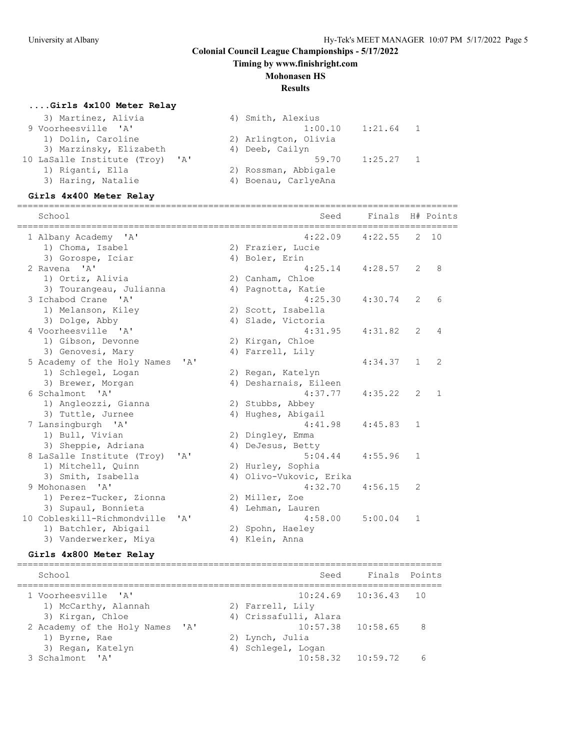**Timing by www.finishright.com**

#### **Mohonasen HS**

#### **Results**

#### **....Girls 4x100 Meter Relay**

| 3) Martinez, Alivia             | 4) Smith, Alexius      |
|---------------------------------|------------------------|
| 9 Voorheesville 'A'             | 1:00.10<br>$1:21.64$ 1 |
| 1) Dolin, Caroline              | 2) Arlington, Olivia   |
| 3) Marzinsky, Elizabeth         | 4) Deeb, Cailyn        |
| 10 LaSalle Institute (Troy) 'A' | 1:25.27<br>59.70       |
| 1) Riganti, Ella                | 2) Rossman, Abbigale   |
| 3) Haring, Natalie              | 4) Boenau, CarlyeAna   |
|                                 |                        |

#### **Girls 4x400 Meter Relay**

|                                          | ================ | ===================           |         |                |              |
|------------------------------------------|------------------|-------------------------------|---------|----------------|--------------|
| School                                   |                  | Seed                          | Finals  |                | H# Points    |
| 1 Albany Academy 'A'<br>1) Choma, Isabel |                  | 4:22.09<br>2) Frazier, Lucie  | 4:22.55 | 2              | 10           |
| 3) Gorospe, Iciar                        |                  | 4) Boler, Erin                |         |                |              |
| 2 Ravena<br>' A'                         |                  | 4:25.14                       | 4:28.57 | 2              | 8            |
| 1) Ortiz, Alivia                         |                  | 2) Canham, Chloe              |         |                |              |
| 3) Tourangeau, Julianna                  |                  | 4) Pagnotta, Katie            |         |                |              |
| 3 Ichabod Crane 'A'                      |                  | 4:25.30                       | 4:30.74 | 2              | 6            |
| 1) Melanson, Kiley                       |                  | 2) Scott, Isabella            |         |                |              |
| 3) Dolge, Abby                           |                  | 4) Slade, Victoria            |         |                |              |
| 4 Voorheesville 'A'                      |                  | 4:31.95                       | 4:31.82 | $\overline{2}$ | 4            |
| 1) Gibson, Devonne                       |                  | 2) Kirgan, Chloe              |         |                |              |
| 3) Genovesi, Mary                        |                  | 4) Farrell, Lily              |         |                |              |
| 5 Academy of the Holy Names              | ' A'             |                               | 4:34.37 | $\mathbf{1}$   | 2            |
| 1) Schlegel, Logan                       |                  | 2) Regan, Katelyn             |         |                |              |
| 3) Brewer, Morgan                        |                  | 4) Desharnais, Eileen         |         |                |              |
| 6 Schalmont. 'A'                         |                  | 4:37.77                       | 4:35.22 | $\overline{2}$ | $\mathbf{1}$ |
| 1) Angleozzi, Gianna                     |                  |                               |         |                |              |
| 3) Tuttle, Jurnee                        |                  | 2) Stubbs, Abbey              |         |                |              |
| 7 Lansingburgh 'A'                       |                  | 4) Hughes, Abigail<br>4:41.98 | 4:45.83 | $\mathbf{1}$   |              |
|                                          |                  |                               |         |                |              |
| 1) Bull, Vivian                          |                  | 2) Dingley, Emma              |         |                |              |
| 3) Sheppie, Adriana                      |                  | 4) DeJesus, Betty             |         |                |              |
| 8 LaSalle Institute (Troy)               | ' A'             | 5:04.44                       | 4:55.96 | $\mathbf{1}$   |              |
| 1) Mitchell, Quinn                       |                  | 2) Hurley, Sophia             |         |                |              |
| 3) Smith, Isabella                       |                  | 4) Olivo-Vukovic, Erika       |         |                |              |
| 9 Mohonasen<br>' A'                      |                  | 4:32.70                       | 4:56.15 | 2              |              |
| 1) Perez-Tucker, Zionna                  |                  | 2) Miller, Zoe                |         |                |              |
| 3) Supaul, Bonnieta                      |                  | 4) Lehman, Lauren             |         |                |              |
| 10 Cobleskill-Richmondville              | ' A'             | 4:58.00                       | 5:00.04 | $\mathbf{1}$   |              |
| 1) Batchler, Abigail                     |                  | 2) Spohn, Haeley              |         |                |              |
| 3) Vanderwerker, Miya                    |                  | 4) Klein, Anna                |         |                |              |

#### **Girls 4x800 Meter Relay**

================================================================================ School Seed Finals Points ================================================================================ 1 Voorheesville 'A' 10:24.69 10:36.43 10 1) McCarthy, Alannah (2) Farrell, Lily 3) Kirgan, Chloe 4) Crissafulli, Alara 2 Academy of the Holy Names 'A' 10:57.38 10:58.65 8 1) Byrne, Rae 2) Lynch, Julia 3) Regan, Katelyn 1988 (2008) 4) Schlegel, Logan 3 Schalmont 'A' 10:58.32 10:59.72 6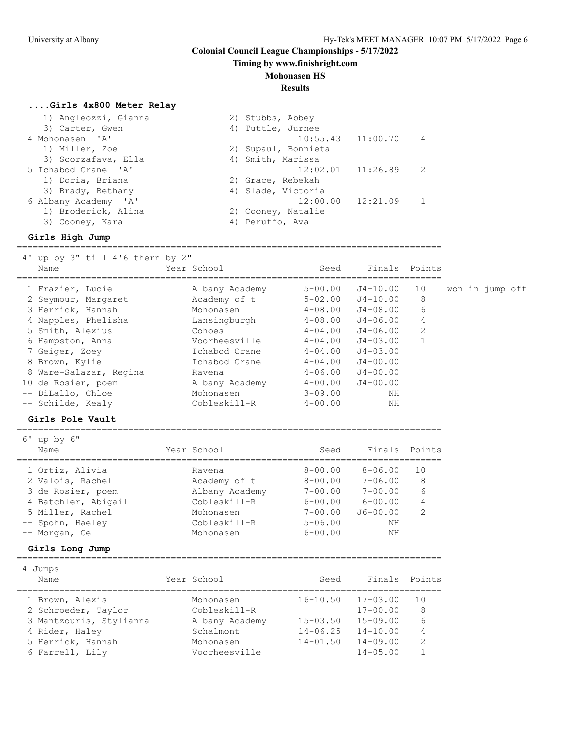**Timing by www.finishright.com**

## **Mohonasen HS**

#### **Results**

## **....Girls 4x800 Meter Relay**

| 1) Angleozzi, Gianna | 2) Stubbs, Abbey      |                       |                |
|----------------------|-----------------------|-----------------------|----------------|
| 3) Carter, Gwen      | 4) Tuttle, Jurnee     |                       |                |
| 4 Mohonasen 'A'      |                       | $10:55.43$ $11:00.70$ | $\overline{4}$ |
| 1) Miller, Zoe       | 2) Supaul, Bonnieta   |                       |                |
| 3) Scorzafava, Ella  | 4) Smith, Marissa     |                       |                |
| 5 Ichabod Crane 'A'  | $12:02.01$ $11:26.89$ |                       | 2              |
| 1) Doria, Briana     | 2) Grace, Rebekah     |                       |                |
| 3) Brady, Bethany    | 4) Slade, Victoria    |                       |                |
| 6 Albany Academy 'A' | 12:00.00              | 12:21.09              |                |
| 1) Broderick, Alina  | 2) Cooney, Natalie    |                       |                |
| 3) Cooney, Kara      | 4) Peruffo, Ava       |                       |                |
|                      |                       |                       |                |

#### **Girls High Jump**

| 4' up by 3" till 4'6 thern by 2"<br>Name<br>============                                                                                                                                                                                                  | Year School                                                                                                                                                                       | Seed                                                                                                                                                                             | Finals                                                                                                                                                               | Points                                              |                 |  |  |
|-----------------------------------------------------------------------------------------------------------------------------------------------------------------------------------------------------------------------------------------------------------|-----------------------------------------------------------------------------------------------------------------------------------------------------------------------------------|----------------------------------------------------------------------------------------------------------------------------------------------------------------------------------|----------------------------------------------------------------------------------------------------------------------------------------------------------------------|-----------------------------------------------------|-----------------|--|--|
| 1 Frazier, Lucie<br>2 Seymour, Margaret<br>3 Herrick, Hannah<br>4 Napples, Phelisha<br>5 Smith, Alexius<br>6 Hampston, Anna<br>7 Geiger, Zoey<br>8 Brown, Kylie<br>8 Ware-Salazar, Regina<br>10 de Rosier, poem<br>-- DiLallo, Chloe<br>-- Schilde, Kealy | Albany Academy<br>Academy of t<br>Mohonasen<br>Lansingburgh<br>Cohoes<br>Voorheesville<br>Ichabod Crane<br>Ichabod Crane<br>Ravena<br>Albany Academy<br>Mohonasen<br>Cobleskill-R | $5 - 00.00$<br>$5 - 02.00$<br>$4 - 08.00$<br>$4 - 08.00$<br>$4 - 04.00$<br>$4 - 04.00$<br>$4 - 04.00$<br>$4 - 04.00$<br>$4 - 06.00$<br>$4 - 00.00$<br>$3 - 09.00$<br>$4 - 00.00$ | $J4 - 10.00$<br>$J4 - 10.00$<br>$J4 - 08.00$<br>$J4 - 06.00$<br>J4-06.00<br>$J4 - 03.00$<br>$J4 - 03.00$<br>$J4 - 00.00$<br>$J4 - 00.00$<br>$J4 - 00.00$<br>NΗ<br>NH | 10<br>8<br>6<br>4<br>2<br>$\mathbf{1}$              | won in jump off |  |  |
| Girls Pole Vault<br>_______________________                                                                                                                                                                                                               |                                                                                                                                                                                   |                                                                                                                                                                                  |                                                                                                                                                                      |                                                     |                 |  |  |
| $6'$ up by $6''$<br>Name                                                                                                                                                                                                                                  | Year School                                                                                                                                                                       | Seed                                                                                                                                                                             | Finals Points                                                                                                                                                        |                                                     |                 |  |  |
| 1 Ortiz, Alivia<br>2 Valois, Rachel<br>3 de Rosier, poem<br>4 Batchler, Abigail<br>5 Miller, Rachel<br>-- Spohn, Haeley<br>-- Morgan, Ce<br>Girls Long Jump                                                                                               | Ravena<br>Academy of t<br>Albany Academy<br>Cobleskill-R<br>Mohonasen<br>Cobleskill-R<br>Mohonasen                                                                                | $8 - 00.00$<br>$8 - 00.00$<br>$7 - 00.00$<br>$6 - 00.00$<br>$7 - 00.00$<br>$5 - 06.00$<br>$6 - 00.00$                                                                            | $8 - 06.00$<br>$7 - 06.00$<br>$7 - 00.00$<br>$6 - 00.00$<br>$J6 - 00.00$<br>NH<br>NH                                                                                 | 10<br>8<br>6<br>4<br>$\overline{2}$                 |                 |  |  |
| 4 Jumps<br>Name                                                                                                                                                                                                                                           | Year School                                                                                                                                                                       | Seed                                                                                                                                                                             | Finals                                                                                                                                                               | Points                                              |                 |  |  |
| 1 Brown, Alexis<br>2 Schroeder, Taylor<br>3 Mantzouris, Stylianna<br>4 Rider, Haley<br>5 Herrick, Hannah<br>6 Farrell, Lily                                                                                                                               | ============================<br>Mohonasen<br>Cobleskill-R<br>Albany Academy<br>Schalmont<br>Mohonasen<br>Voorheesville                                                            | $16 - 10.50$<br>$15 - 03.50$<br>$14 - 06.25$<br>$14 - 01.50$                                                                                                                     | ============================<br>$17 - 03.00$<br>$17 - 00.00$<br>$15 - 09.00$<br>$14 - 10.00$<br>$14 - 09.00$<br>$14 - 05.00$                                         | 10<br>8<br>6<br>4<br>$\overline{2}$<br>$\mathbf{1}$ |                 |  |  |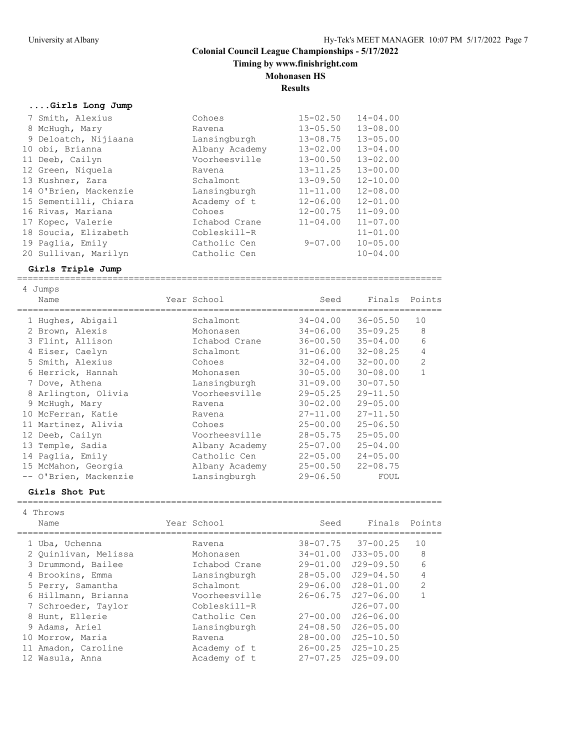**Timing by www.finishright.com**

## **Mohonasen HS**

**Results**

## **....Girls Long Jump**

| 7 Smith, Alexius      | Cohoes         | $15 - 02.50$ | $14 - 04.00$ |
|-----------------------|----------------|--------------|--------------|
| 8 McHugh, Mary        | Ravena         | $13 - 05.50$ | $13 - 08.00$ |
| 9 Deloatch, Nijiaana  | Lansingburgh   | $13 - 08.75$ | $13 - 05.00$ |
| 10 obi, Brianna       | Albany Academy | $13 - 02.00$ | $13 - 04.00$ |
| 11 Deeb, Cailyn       | Voorheesville  | $13 - 00.50$ | $13 - 02.00$ |
| 12 Green, Niquela     | Ravena         | $13 - 11.25$ | $13 - 00.00$ |
| 13 Kushner, Zara      | Schalmont      | $13 - 09.50$ | $12 - 10.00$ |
| 14 O'Brien, Mackenzie | Lansingburgh   | $11 - 11.00$ | $12 - 08.00$ |
| 15 Sementilli, Chiara | Academy of t   | $12 - 06.00$ | $12 - 01.00$ |
| 16 Rivas, Mariana     | Cohoes         | $12 - 00.75$ | $11 - 09.00$ |
| 17 Kopec, Valerie     | Ichabod Crane  | $11 - 04.00$ | $11 - 07.00$ |
| 18 Soucia, Elizabeth  | Cobleskill-R   |              | $11 - 01.00$ |
| 19 Paglia, Emily      | Catholic Cen   | $9 - 07.00$  | $10 - 05.00$ |
| 20 Sullivan, Marilyn  | Catholic Cen   |              | $10 - 04.00$ |

#### **Girls Triple Jump**

================================================================================

|   | Jumps                 |                |              |              |                |
|---|-----------------------|----------------|--------------|--------------|----------------|
|   | Name                  | Year School    | Seed         | Finals       | Points         |
|   |                       |                |              |              |                |
|   | 1 Hughes, Abigail     | Schalmont      | $34 - 04.00$ | $36 - 05.50$ | 10             |
|   | 2 Brown, Alexis       | Mohonasen      | $34 - 06.00$ | $35 - 09.25$ | 8              |
|   | 3 Flint, Allison      | Ichabod Crane  | $36 - 00.50$ | $35 - 04.00$ | 6              |
|   | 4 Eiser, Caelyn       | Schalmont      | $31 - 06.00$ | $32 - 08.25$ | 4              |
|   | 5 Smith, Alexius      | Cohoes         | $32 - 04.00$ | $32 - 00.00$ | $\overline{2}$ |
|   | 6 Herrick, Hannah     | Mohonasen      | $30 - 05.00$ | $30 - 08.00$ |                |
| 7 | Dove, Athena          | Lansingburgh   | $31 - 09.00$ | $30 - 07.50$ |                |
|   | 8 Arlington, Olivia   | Voorheesville  | $29 - 05.25$ | $29 - 11.50$ |                |
|   | 9 McHugh, Mary        | Ravena         | $30 - 02.00$ | $29 - 05.00$ |                |
|   | 10 McFerran, Katie    | Ravena         | $27 - 11.00$ | $27 - 11.50$ |                |
|   | 11 Martinez, Alivia   | Cohoes         | $25 - 00.00$ | $25 - 06.50$ |                |
|   | 12 Deeb, Cailyn       | Voorheesville  | $28 - 05.75$ | $25 - 05.00$ |                |
|   | 13 Temple, Sadia      | Albany Academy | $25 - 07.00$ | $25 - 04.00$ |                |
|   | 14 Paglia, Emily      | Catholic Cen   | $22 - 05.00$ | $24 - 05.00$ |                |
|   | 15 McMahon, Georgia   | Albany Academy | $25 - 00.50$ | $22 - 08.75$ |                |
|   | -- O'Brien, Mackenzie | Lansingburgh   | $29 - 06.50$ | FOUL         |                |

#### **Girls Shot Put**

| 4 Throws<br>Name     | Year School   | Seed         | Finals                    | Points          |
|----------------------|---------------|--------------|---------------------------|-----------------|
| 1 Uba, Uchenna       | Ravena        |              | $38 - 07.75$ $37 - 00.25$ | 10              |
| 2 Ouinlivan, Melissa | Mohonasen     | $34 - 01.00$ | $J33 - 05.00$             | 8               |
| 3 Drummond, Bailee   | Ichabod Crane | $29 - 01.00$ | $J29 - 09.50$             | $6\overline{6}$ |
| 4 Brookins, Emma     | Lansingburgh  | $28 - 05.00$ | $J29 - 04.50$             | 4               |
| 5 Perry, Samantha    | Schalmont.    | $29 - 06.00$ | $J28 - 01.00$             | $\overline{2}$  |
| 6 Hillmann, Brianna  | Voorheesville | $26 - 06.75$ | $J27 - 06.00$             | $\mathbf{1}$    |
| 7 Schroeder, Taylor  | Cobleskill-R  |              | $J26 - 07.00$             |                 |
| 8 Hunt, Ellerie      | Catholic Cen  | $27 - 00.00$ | $J26 - 06.00$             |                 |
| 9 Adams, Ariel       | Lansingburgh  | $24 - 08.50$ | $J26 - 05.00$             |                 |
| 10 Morrow, Maria     | Ravena        | $28 - 00.00$ | $J25 - 10.50$             |                 |
| 11 Amadon, Caroline  | Academy of t  | $26 - 00.25$ | $J25 - 10.25$             |                 |
| 12 Wasula, Anna      | Academy of t  | $27 - 07.25$ | $J25 - 09.00$             |                 |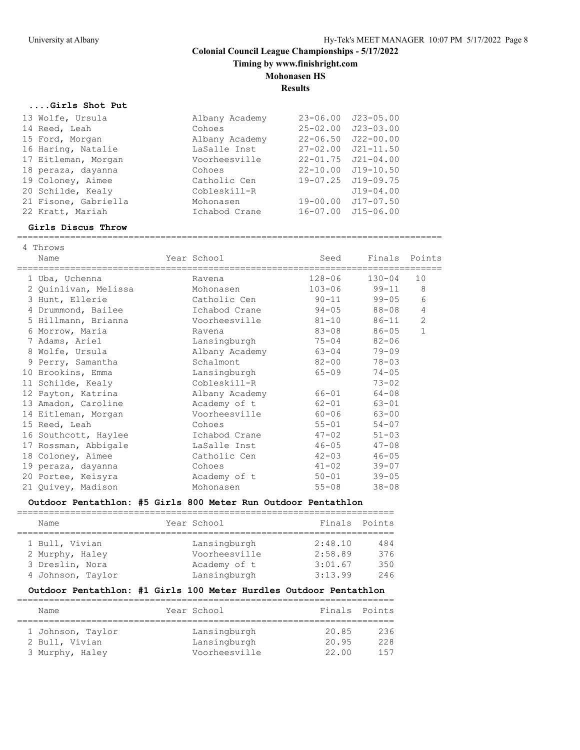**Timing by www.finishright.com**

## **Mohonasen HS**

**Results**

#### **....Girls Shot Put**

| 13 Wolfe, Ursula     | Albany Academy | $23 - 06.00$ | $J23 - 05.00$      |  |
|----------------------|----------------|--------------|--------------------|--|
| 14 Reed, Leah        | Cohoes         | $25 - 02.00$ | $J23 - 03.00$      |  |
| 15 Ford, Morgan      | Albany Academy | $22 - 06.50$ | $J22 - 00.00$      |  |
| 16 Haring, Natalie   | LaSalle Inst   | $27 - 02.00$ | $J21 - 11.50$      |  |
| 17 Eitleman, Morgan  | Voorheesville  | $22 - 01.75$ | $J21 - 04.00$      |  |
| 18 peraza, dayanna   | Cohoes         | $22 - 10.00$ | $J19 - 10.50$      |  |
| 19 Coloney, Aimee    | Catholic Cen   |              | 19-07.25 J19-09.75 |  |
| 20 Schilde, Kealy    | Cobleskill-R   |              | $J19 - 04.00$      |  |
| 21 Fisone, Gabriella | Mohonasen      | $19 - 00.00$ | $J17 - 07.50$      |  |
| 22 Kratt, Mariah     | Ichabod Crane  | $16 - 07.00$ | J15-06.00          |  |
|                      |                |              |                    |  |

#### **Girls Discus Throw**

================================================================================

| 4 Throws<br>Name     | Year School                    | Seed       | Finals Points |                |
|----------------------|--------------------------------|------------|---------------|----------------|
| 1 Uba, Uchenna       | ====================<br>Ravena | $128 - 06$ | $130 - 04$    | 10             |
| 2 Quinlivan, Melissa | Mohonasen                      | $103 - 06$ | 99-11         | 8              |
| 3 Hunt, Ellerie      | Catholic Cen                   | $90 - 11$  | $99 - 05$     | 6              |
| 4 Drummond, Bailee   | Ichabod Crane                  | $94 - 05$  | 88-08         | 4              |
| 5 Hillmann, Brianna  | Voorheesville                  | $81 - 10$  | 86-11         | $\overline{2}$ |
| 6 Morrow, Maria      | Ravena                         | 83-08      | $86 - 05$     | $\mathbf{1}$   |
| 7 Adams, Ariel       | Lansingburgh                   | $75 - 04$  | $82 - 06$     |                |
| 8 Wolfe, Ursula      | Albany Academy                 | $63 - 04$  | $79 - 09$     |                |
| 9 Perry, Samantha    | Schalmont                      | $82 - 00$  | $78 - 03$     |                |
| 10 Brookins, Emma    | Lansingburgh                   | $65 - 09$  | $74 - 05$     |                |
| 11 Schilde, Kealy    | Cobleskill-R                   |            | $73 - 02$     |                |
| 12 Payton, Katrina   | Albany Academy                 | 66-01      | $64 - 08$     |                |
| 13 Amadon, Caroline  | Academy of t                   | $62 - 01$  | $63 - 01$     |                |
| 14 Eitleman, Morgan  | Voorheesville                  | $60 - 06$  | $63 - 00$     |                |
| 15 Reed, Leah        | Cohoes                         | $55 - 01$  | $54 - 07$     |                |
| 16 Southcott, Haylee | Ichabod Crane                  | $47 - 02$  | $51 - 03$     |                |
| 17 Rossman, Abbigale | LaSalle Inst                   | $46 - 05$  | $47 - 08$     |                |
| 18 Coloney, Aimee    | Catholic Cen                   | $42 - 03$  | $46 - 05$     |                |
| 19 peraza, dayanna   | Cohoes                         | $41 - 02$  | $39 - 07$     |                |
| 20 Portee, Keisyra   | Academy of t                   | $50 - 01$  | $39 - 05$     |                |
| 21 Quivey, Madison   | Mohonasen                      | $55 - 08$  | $38 - 08$     |                |

#### **Outdoor Pentathlon: #5 Girls 800 Meter Run Outdoor Pentathlon**

| Name              | Year School   |         | Finals Points |
|-------------------|---------------|---------|---------------|
|                   |               |         |               |
| 1 Bull, Vivian    | Lansingburgh  | 2:48.10 | 484           |
| 2 Murphy, Haley   | Voorheesville | 2:58.89 | 376           |
| 3 Dreslin, Nora   | Academy of t  | 3:01.67 | 350           |
| 4 Johnson, Taylor | Lansingburgh  | 3:13.99 | 246           |

#### **Outdoor Pentathlon: #1 Girls 100 Meter Hurdles Outdoor Pentathlon**

| Name              | Year School   | Finals Points |     |
|-------------------|---------------|---------------|-----|
|                   |               |               |     |
| 1 Johnson, Taylor | Lansingburgh  | 20.85         | 236 |
| 2 Bull, Vivian    | Lansingburgh  | 20.95         | 228 |
| 3 Murphy, Haley   | Voorheesville | 22.00         | 157 |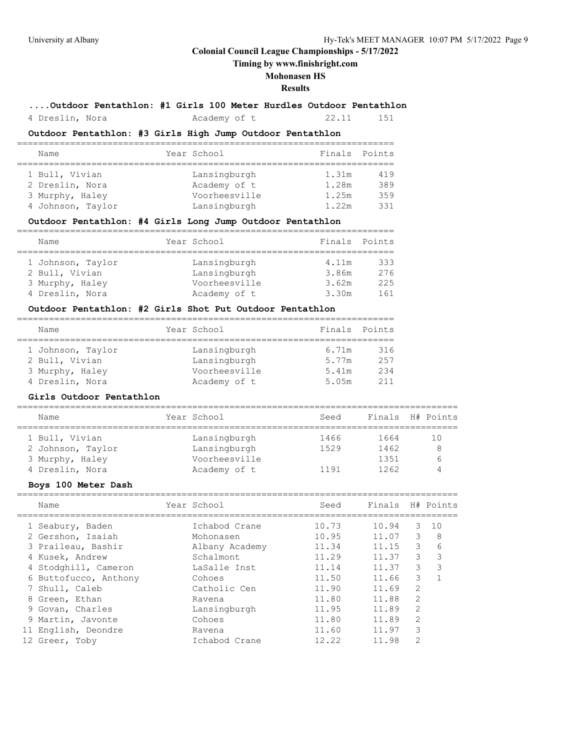**Timing by www.finishright.com**

## **Mohonasen HS**

#### **Results**

**....Outdoor Pentathlon: #1 Girls 100 Meter Hurdles Outdoor Pentathlon**

4 Dreslin, Nora Academy of t 22.11 151

## **Outdoor Pentathlon: #3 Girls High Jump Outdoor Pentathlon**

| Name              |  | Year School   | Finals Points |     |  |  |
|-------------------|--|---------------|---------------|-----|--|--|
|                   |  |               |               |     |  |  |
| 1 Bull, Vivian    |  | Lansingburgh  | 1.31m         | 419 |  |  |
| 2 Dreslin, Nora   |  | Academy of t  | 1.28m         | 389 |  |  |
| 3 Murphy, Haley   |  | Voorheesville | 1.25m         | 359 |  |  |
| 4 Johnson, Taylor |  | Lansingburgh  | 1.22m         | 331 |  |  |

## **Outdoor Pentathlon: #4 Girls Long Jump Outdoor Pentathlon**

| Name              | Year School   | Finals Points |     |
|-------------------|---------------|---------------|-----|
|                   |               |               |     |
| 1 Johnson, Taylor | Lansingburgh  | 4.11m         | 333 |
| 2 Bull, Vivian    | Lansingburgh  | 3.86m         | 276 |
| 3 Murphy, Haley   | Voorheesville | 3.62m         | 225 |
| 4 Dreslin, Nora   | Academy of t  | 3.30m         | 161 |

#### **Outdoor Pentathlon: #2 Girls Shot Put Outdoor Pentathlon**

| Name              | Year School   | Finals | Points |
|-------------------|---------------|--------|--------|
|                   |               |        |        |
| 1 Johnson, Taylor | Lansingburgh  | 6.71m  | 316    |
| 2 Bull, Vivian    | Lansingburgh  | 5.77m  | 257    |
| 3 Murphy, Haley   | Voorheesville | 5.41m  | 234    |
| 4 Dreslin, Nora   | Academy of t  | 5.05m  | 211    |

#### **Girls Outdoor Pentathlon**

| Name              | Year School   | Seed |      | Finals H# Points |
|-------------------|---------------|------|------|------------------|
| 1 Bull, Vivian    | Lansingburgh  | 1466 | 1664 | 1 ()             |
| 2 Johnson, Taylor | Lansingburgh  | 1529 | 1462 | 8                |
| 3 Murphy, Haley   | Voorheesville |      | 1351 |                  |
| 4 Dreslin, Nora   | Academy of t  | 1191 | 1262 |                  |

#### **Boys 100 Meter Dash**

| Name                  | Year School    | Seed  | Finals |                | H# Points |
|-----------------------|----------------|-------|--------|----------------|-----------|
| 1 Seabury, Baden      | Ichabod Crane  | 10.73 | 10.94  | 3              | 10        |
| 2 Gershon, Isaiah     | Mohonasen      | 10.95 | 11.07  | 3              | 8         |
| 3 Praileau, Bashir    | Albany Academy | 11.34 | 11.15  | 3              | 6         |
| 4 Kusek, Andrew       | Schalmont      | 11.29 | 11.37  | 3              | 3         |
| 4 Stodghill, Cameron  | LaSalle Inst   | 11.14 | 11.37  | 3              | 3         |
| 6 Buttofucco, Anthony | Cohoes         | 11.50 | 11.66  | 3              |           |
| 7 Shull, Caleb        | Catholic Cen   | 11.90 | 11.69  | $\overline{2}$ |           |
| 8 Green, Ethan        | Ravena         | 11.80 | 11.88  | $\mathfrak{D}$ |           |
| 9 Govan, Charles      | Lansingburgh   | 11.95 | 11.89  | $\mathfrak{D}$ |           |
| 9 Martin, Javonte     | Cohoes         | 11.80 | 11.89  | $\mathfrak{D}$ |           |
| 11 English, Deondre   | Ravena         | 11.60 | 11.97  | 3              |           |
| 12 Greer, Toby        | Ichabod Crane  | 12.22 | 11.98  | $\overline{2}$ |           |
|                       |                |       |        |                |           |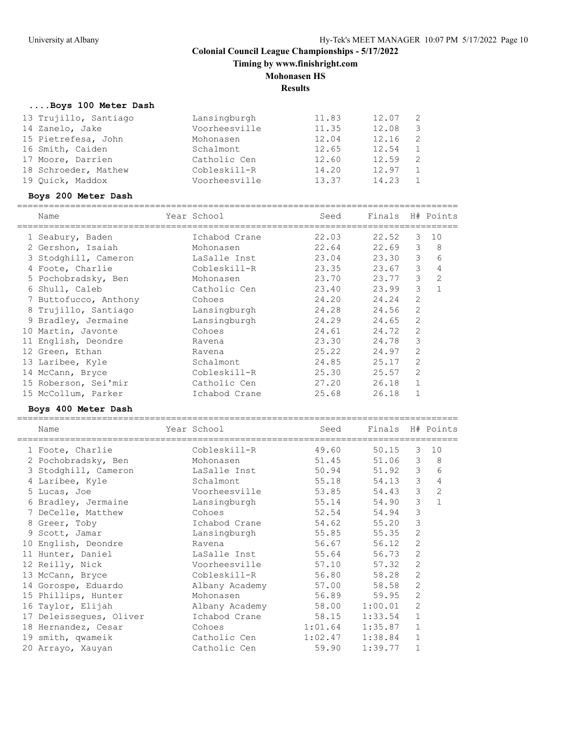**Timing by www.finishright.com**

## **Mohonasen HS**

**Results**

## **....Boys 100 Meter Dash**

| 13 Trujillo, Santiago | Lansingburgh  | 11.83 | 12.07 | -2            |
|-----------------------|---------------|-------|-------|---------------|
| 14 Zanelo, Jake       | Voorheesville | 11.35 | 12.08 | 3             |
| 15 Pietrefesa, John   | Mohonasen     | 12.04 | 12.16 | -2            |
| 16 Smith, Caiden      | Schalmont     | 12.65 | 12.54 | 1             |
| 17 Moore, Darrien     | Catholic Cen  | 12.60 | 12.59 | $\mathcal{L}$ |
| 18 Schroeder, Mathew  | Cobleskill-R  | 14.20 | 12.97 |               |
| 19 Ouick, Maddox      | Voorheesville | 13.37 | 14.23 |               |

## **Boys 200 Meter Dash**

| Name                  | Year School   | Seed  | Finals |                | H# Points      |
|-----------------------|---------------|-------|--------|----------------|----------------|
| 1 Seabury, Baden      | Ichabod Crane | 22.03 | 22.52  | 3              | 10             |
| 2 Gershon, Isaiah     | Mohonasen     | 22.64 | 22.69  | 3              | 8              |
| 3 Stodghill, Cameron  | LaSalle Inst  | 23.04 | 23.30  | 3              | 6              |
| Foote, Charlie        | Cobleskill-R  | 23.35 | 23.67  | 3              | 4              |
| 5 Pochobradsky, Ben   | Mohonasen     | 23.70 | 23.77  | 3              | $\overline{2}$ |
| 6 Shull, Caleb        | Catholic Cen  | 23.40 | 23.99  | 3              | $\mathbf{1}$   |
| 7 Buttofucco, Anthony | Cohoes        | 24.20 | 24.24  | $\overline{2}$ |                |
| 8 Trujillo, Santiago  | Lansingburgh  | 24.28 | 24.56  | $\mathfrak{D}$ |                |
| 9 Bradley, Jermaine   | Lansingburgh  | 24.29 | 24.65  | $\overline{2}$ |                |
| 10 Martin, Javonte    | Cohoes        | 24.61 | 24.72  | $\overline{2}$ |                |
| 11 English, Deondre   | Ravena        | 23.30 | 24.78  | 3              |                |
| 12 Green, Ethan       | Ravena        | 25.22 | 24.97  | $\overline{2}$ |                |
| 13 Laribee, Kyle      | Schalmont     | 24.85 | 25.17  | $\overline{2}$ |                |
| 14 McCann, Bryce      | Cobleskill-R  | 25.30 | 25.57  | $\overline{2}$ |                |
| 15 Roberson, Sei'mir  | Catholic Cen  | 27.20 | 26.18  |                |                |
| 15 McCollum, Parker   | Ichabod Crane | 25.68 | 26.18  |                |                |
|                       |               |       |        |                |                |

## **Boys 400 Meter Dash**

| Name                    | Year School    | Seed    | Finals H# Points |                |                |
|-------------------------|----------------|---------|------------------|----------------|----------------|
| 1 Foote, Charlie        | Cobleskill-R   | 49.60   | 50.15            | 3              | 10             |
| 2 Pochobradsky, Ben     | Mohonasen      | 51.45   | 51.06            | 3              | 8              |
| 3 Stodghill, Cameron    | LaSalle Inst   | 50.94   | 51.92            | 3              | 6              |
| 4 Laribee, Kyle         | Schalmont      | 55.18   | 54.13            | 3              | 4              |
| 5 Lucas, Joe            | Voorheesville  | 53.85   | 54.43            | 3              | $\overline{c}$ |
| 6 Bradley, Jermaine     | Lansingburgh   | 55.14   | 54.90            | 3              | $\mathbf{1}$   |
| 7 DeCelle, Matthew      | Cohoes         | 52.54   | 54.94            | 3              |                |
| 8 Greer, Toby           | Ichabod Crane  | 54.62   | 55.20            | 3              |                |
| 9 Scott, Jamar          | Lansingburgh   | 55.85   | 55.35            | 2              |                |
| 10 English, Deondre     | Ravena         | 56.67   | 56.12            | $\overline{2}$ |                |
| 11 Hunter, Daniel       | LaSalle Inst   | 55.64   | 56.73            | 2              |                |
| 12 Reilly, Nick         | Voorheesville  | 57.10   | 57.32            | 2              |                |
| 13 McCann, Bryce        | Cobleskill-R   | 56.80   | 58.28            | $\overline{c}$ |                |
| 14 Gorospe, Eduardo     | Albany Academy | 57.00   | 58.58            | 2              |                |
| 15 Phillips, Hunter     | Mohonasen      | 56.89   | 59.95            | 2              |                |
| 16 Taylor, Elijah       | Albany Academy | 58.00   | 1:00.01          | $\overline{2}$ |                |
| 17 Deleisseques, Oliver | Ichabod Crane  | 58.15   | 1:33.54          | $\mathbf{1}$   |                |
| 18 Hernandez, Cesar     | Cohoes         | 1:01.64 | 1:35.87          | $\mathbf{1}$   |                |
| 19 smith, qwameik       | Catholic Cen   | 1:02.47 | 1:38.84          | $\mathbf{1}$   |                |
| 20 Arrayo, Xauyan       | Catholic Cen   | 59.90   | 1:39.77          | 1              |                |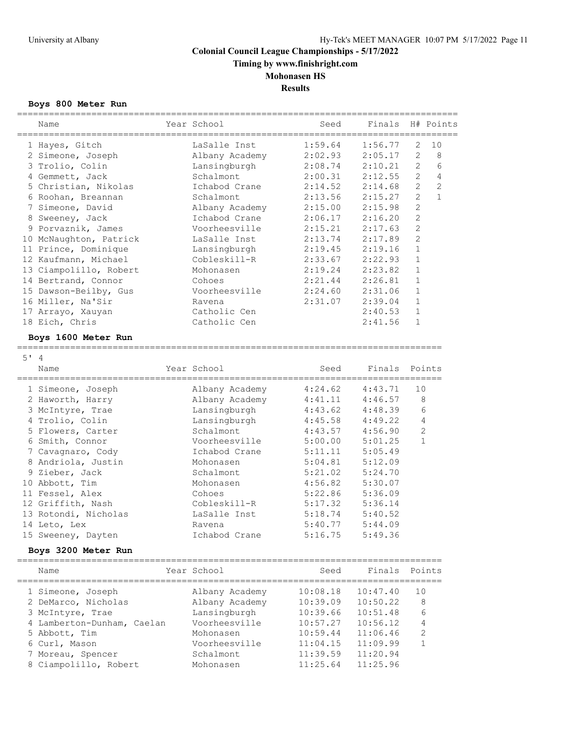**Timing by www.finishright.com**

**Mohonasen HS**

**Results**

## **Boys 800 Meter Run**

|        | Name                                   | Year School    | Seed     |          | Finals H# Points                 |
|--------|----------------------------------------|----------------|----------|----------|----------------------------------|
|        | 1 Hayes, Gitch                         | LaSalle Inst   | 1:59.64  | 1:56.77  | 2<br>10                          |
|        | 2 Simeone, Joseph                      | Albany Academy | 2:02.93  | 2:05.17  | 2<br>8                           |
|        | 3 Trolio, Colin                        | Lansingburgh   | 2:08.74  | 2:10.21  | $\overline{2}$<br>6              |
|        | 4 Gemmett, Jack                        | Schalmont.     | 2:00.31  | 2:12.55  | $\overline{2}$<br>4              |
|        | 5 Christian, Nikolas                   | Ichabod Crane  | 2:14.52  | 2:14.68  | $\overline{2}$<br>$\overline{2}$ |
|        | 6 Roohan, Breannan                     | Schalmont      | 2:13.56  | 2:15.27  | $\mathbf{1}$<br>$\overline{2}$   |
|        | 7 Simeone, David                       | Albany Academy | 2:15.00  | 2:15.98  | $\overline{c}$                   |
|        | 8 Sweeney, Jack                        | Ichabod Crane  | 2:06.17  | 2:16.20  | $\overline{c}$                   |
|        | 9 Porvaznik, James                     | Voorheesville  | 2:15.21  | 2:17.63  | $\overline{c}$                   |
|        | 10 McNaughton, Patrick                 | LaSalle Inst   | 2:13.74  | 2:17.89  | $\overline{2}$                   |
|        | 11 Prince, Dominique                   | Lansingburgh   | 2:19.45  | 2:19.16  | $\mathbf{1}$                     |
|        | 12 Kaufmann, Michael                   | Cobleskill-R   | 2:33.67  | 2:22.93  | $\mathbf 1$                      |
|        | 13 Ciampolillo, Robert                 | Mohonasen      | 2:19.24  | 2:23.82  | $\mathbf{1}$                     |
|        | 14 Bertrand, Connor                    | Cohoes         | 2:21.44  | 2:26.81  | $\mathbf{1}$                     |
|        | 15 Dawson-Beilby, Gus                  | Voorheesville  | 2:24.60  | 2:31.06  | $\mathbf 1$                      |
|        | 16 Miller, Na'Sir                      | Ravena         | 2:31.07  | 2:39.04  | $\mathbf 1$                      |
|        | 17 Arrayo, Xauyan                      | Catholic Cen   |          | 2:40.53  | $\mathbf 1$                      |
|        | 18 Eich, Chris                         | Catholic Cen   |          | 2:41.56  | $\mathbf{1}$                     |
|        | Boys 1600 Meter Run<br>=============== |                |          |          |                                  |
| $5'$ 4 |                                        |                |          |          |                                  |
|        | Name                                   | Year School    | Seed     | Finals   | Points                           |
|        | 1 Simeone, Joseph                      | Albany Academy | 4:24.62  | 4:43.71  | 10                               |
|        | 2 Haworth, Harry                       | Albany Academy | 4:41.11  | 4:46.57  | 8                                |
|        | 3 McIntyre, Trae                       | Lansingburgh   | 4:43.62  | 4:48.39  | 6                                |
|        | 4 Trolio, Colin                        | Lansingburgh   | 4:45.58  | 4:49.22  | 4                                |
|        | 5 Flowers, Carter                      | Schalmont      | 4:43.57  | 4:56.90  | $\overline{c}$                   |
|        | 6 Smith, Connor                        | Voorheesville  | 5:00.00  | 5:01.25  | $\mathbf{1}$                     |
|        | 7 Cavagnaro, Cody                      | Ichabod Crane  | 5:11.11  | 5:05.49  |                                  |
|        | 8 Andriola, Justin                     | Mohonasen      | 5:04.81  | 5:12.09  |                                  |
|        | 9 Zieber, Jack                         | Schalmont      | 5:21.02  | 5:24.70  |                                  |
|        | 10 Abbott, Tim                         | Mohonasen      | 4:56.82  | 5:30.07  |                                  |
|        | 11 Fessel, Alex                        | Cohoes         | 5:22.86  | 5:36.09  |                                  |
|        | 12 Griffith, Nash                      | Cobleskill-R   | 5:17.32  | 5:36.14  |                                  |
|        | 13 Rotondi, Nicholas                   | LaSalle Inst   | 5:18.74  | 5:40.52  |                                  |
|        | 14 Leto, Lex                           | Ravena         | 5:40.77  | 5:44.09  |                                  |
|        | 15 Sweeney, Dayten                     | Ichabod Crane  | 5:16.75  | 5:49.36  |                                  |
|        | Boys 3200 Meter Run<br>-------         |                |          |          |                                  |
|        | Name                                   | Year School    | Seed     | Finals   | Points                           |
|        |                                        | -------------- | =====    |          | ===========                      |
|        | 1 Simeone, Joseph                      | Albany Academy | 10:08.18 | 10:47.40 | 10                               |
|        | 2 DeMarco, Nicholas                    | Albany Academy | 10:39.09 | 10:50.22 | 8                                |
|        | 3 McIntyre, Trae                       | Lansingburgh   | 10:39.66 | 10:51.48 | 6                                |
|        | 4 Lamberton-Dunham, Caelan             | Voorheesville  | 10:57.27 | 10:56.12 | 4                                |
|        | 5 Abbott, Tim                          | Mohonasen      | 10:59.44 | 11:06.46 | 2                                |
|        | 6 Curl, Mason                          | Voorheesville  | 11:04.15 | 11:09.99 | $\mathbf{1}$                     |
|        | 7 Moreau, Spencer                      | Schalmont      | 11:39.59 | 11:20.94 |                                  |
|        | 8 Ciampolillo, Robert                  | Mohonasen      | 11:25.64 | 11:25.96 |                                  |
|        |                                        |                |          |          |                                  |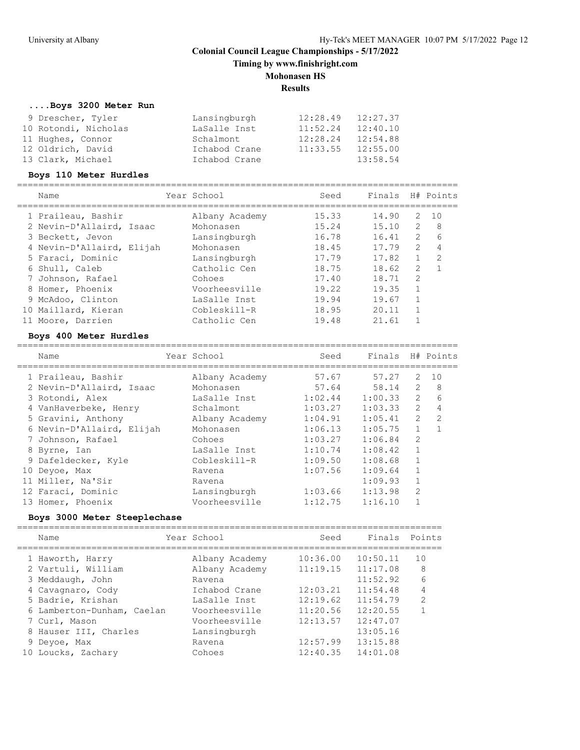**Timing by www.finishright.com**

## **Mohonasen HS**

**Results**

===================================================================================

## **....Boys 3200 Meter Run**

| 9 Drescher, Tyler    | Lansingburgh  | 12:28.49 | 12:27.37 |
|----------------------|---------------|----------|----------|
| 10 Rotondi, Nicholas | LaSalle Inst  | 11:52.24 | 12:40.10 |
| 11 Hughes, Connor    | Schalmont     | 12:28.24 | 12:54.88 |
| 12 Oldrich, David    | Ichabod Crane | 11:33.55 | 12:55.00 |
| 13 Clark, Michael    | Ichabod Crane |          | 13:58.54 |

#### **Boys 110 Meter Hurdles**

| Name                      | Year School    | Seed  | Finals |               | H# Points     |
|---------------------------|----------------|-------|--------|---------------|---------------|
| 1 Praileau, Bashir        | Albany Academy | 15.33 | 14.90  | 2             | 10            |
| 2 Nevin-D'Allaird, Isaac  | Mohonasen      | 15.24 | 15.10  | 2             | 8             |
| 3 Beckett, Jevon          | Lansingburgh   | 16.78 | 16.41  | $\mathcal{P}$ | 6             |
| 4 Nevin-D'Allaird, Elijah | Mohonasen      | 18.45 | 17.79  | $\mathcal{L}$ | 4             |
| 5 Faraci, Dominic         | Lansingburgh   | 17.79 | 17.82  |               | $\mathcal{L}$ |
| 6 Shull, Caleb            | Catholic Cen   | 18.75 | 18.62  | $\mathcal{L}$ |               |
| 7 Johnson, Rafael         | Cohoes         | 17.40 | 18.71  | 2             |               |
| 8 Homer, Phoenix          | Voorheesville  | 19.22 | 19.35  |               |               |
| 9 McAdoo, Clinton         | LaSalle Inst   | 19.94 | 19.67  |               |               |
| 10 Maillard, Kieran       | Cobleskill-R   | 18.95 | 20.11  |               |               |
| Moore, Darrien            | Catholic Cen   | 19.48 | 21.61  |               |               |

## **Boys 400 Meter Hurdles**

| Name                      | Year School    | Seed    | Finals H# Points |                |    |
|---------------------------|----------------|---------|------------------|----------------|----|
| 1 Praileau, Bashir        | Albany Academy | 57.67   | 57.27            | 2              | 10 |
| 2 Nevin-D'Allaird, Isaac  | Mohonasen      | 57.64   | 58.14            | 2              | 8  |
| 3 Rotondi, Alex           | LaSalle Inst   | 1:02.44 | 1:00.33          | $\mathcal{L}$  | 6  |
| 4 VanHaverbeke, Henry     | Schalmont      | 1:03.27 | 1:03.33          | $\overline{2}$ | 4  |
| 5 Gravini, Anthony        | Albany Academy | 1:04.91 | 1:05.41          | $\overline{2}$ | 2  |
| 6 Nevin-D'Allaird, Elijah | Mohonasen      | 1:06.13 | 1:05.75          | $\mathbf{1}$   |    |
| 7 Johnson, Rafael         | Cohoes         | 1:03.27 | 1:06.84          | $\mathfrak{D}$ |    |
| 8 Byrne, Ian              | LaSalle Inst   | 1:10.74 | 1:08.42          | $\mathbf{1}$   |    |
| 9 Dafeldecker, Kyle       | Cobleskill-R   | 1:09.50 | 1:08.68          |                |    |
| 10 Deyoe, Max             | Ravena         | 1:07.56 | 1:09.64          | 1              |    |
| 11 Miller, Na'Sir         | Ravena         |         | 1:09.93          |                |    |
| 12 Faraci, Dominic        | Lansingburgh   | 1:03.66 | 1:13.98          | $\mathfrak{D}$ |    |
| 13 Homer, Phoenix         | Voorheesville  | 1:12.75 | 1:16.10          |                |    |

#### **Boys 3000 Meter Steeplechase**

| Name                       | Year School    | Seed     | Finals   | Points         |
|----------------------------|----------------|----------|----------|----------------|
| 1 Haworth, Harry           | Albany Academy | 10:36.00 | 10:50.11 | 10             |
| 2 Vartuli, William         | Albany Academy | 11:19.15 | 11:17.08 | 8              |
| 3 Meddaugh, John           | Ravena         |          | 11:52.92 | 6              |
| 4 Cavagnaro, Cody          | Ichabod Crane  | 12:03.21 | 11:54.48 | 4              |
| 5 Badrie, Krishan          | LaSalle Inst   | 12:19.62 | 11:54.79 | $\overline{2}$ |
| 6 Lamberton-Dunham, Caelan | Voorheesville  | 11:20.56 | 12:20.55 |                |
| 7 Curl, Mason              | Voorheesville  | 12:13.57 | 12:47.07 |                |
| 8 Hauser III, Charles      | Lansingburgh   |          | 13:05.16 |                |
| 9 Deyoe, Max               | Ravena         | 12:57.99 | 13:15.88 |                |
| 10 Loucks, Zachary         | Cohoes         | 12:40.35 | 14:01.08 |                |
|                            |                |          |          |                |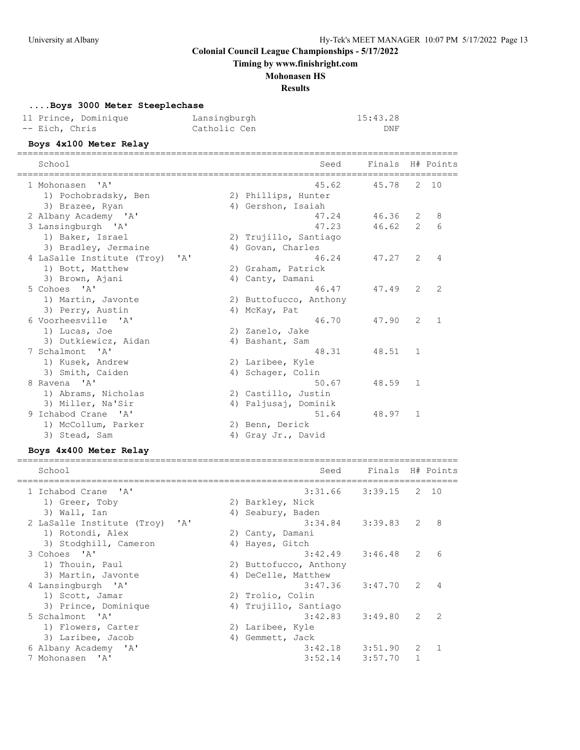**Timing by www.finishright.com**

#### **Mohonasen HS**

**Results**

#### **....Boys 3000 Meter Steeplechase**

| 11 Prince, Dominique | Lansingburgh | 15:43.28 |
|----------------------|--------------|----------|
| -- Eich, Chris       | Catholic Cen | DNF      |

#### **Boys 4x100 Meter Relay**

=================================================================================== School Seed Finals H# Points =================================================================================== 1 Mohonasen 'A' 45.62 45.78 2 10 1) Pochobradsky, Ben 2) Phillips, Hunter 3) Brazee, Ryan 1988 (4) Gershon, Isaiah 2 Albany Academy 'A' 47.24 46.36 2 8 3 Lansingburgh 'A' 47.23 46.62 2 6 1) Baker, Israel 2) Trujillo, Santiago 3) Bradley, Jermaine (4) Govan, Charles 4 LaSalle Institute (Troy) 'A' 46.24 47.27 2 4 1) Bott, Matthew 2) Graham, Patrick 3) Brown, Ajani (4) Canty, Damani 5 Cohoes 'A' 46.47 47.49 2 2 1) Martin, Javonte 2) Buttofucco, Anthony 3) Perry, Austin 4) McKay, Pat 6 Voorheesville 'A' 46.70 47.90 2 1 1) Lucas, Joe 2) Zanelo, Jake 3) Dutkiewicz, Aidan (4) Bashant, Sam 7 Schalmont 'A' 48.31 48.51 1 1) Kusek, Andrew 2) Laribee, Kyle 3) Smith, Caiden 19, 2008, 49, Schager, Colin 8 Ravena 'A' 50.67 48.59 1 1) Abrams, Nicholas (2) Castillo, Justin 3) Miller, Na'Sir 4) Paljusaj, Dominik 9 Ichabod Crane 'A' 51.64 48.97 1 1) McCollum, Parker 2) Benn, Derick 3) Stead, Sam and Allah (4) Gray Jr., David

#### **Boys 4x400 Meter Relay**

| School                                     | Seed                   | Finals H# Points |               |      |
|--------------------------------------------|------------------------|------------------|---------------|------|
| 1 Ichabod Crane 'A'                        | 3:31.66                | 3:39.15          |               | 2 10 |
| 1) Greer, Toby                             | 2) Barkley, Nick       |                  |               |      |
| 3) Wall, Ian                               | 4) Seabury, Baden      |                  |               |      |
| 2 LaSalle Institute (Troy)<br>$\mathsf{A}$ | 3:34.84                | 3:39.83          | 2             | 8    |
| 1) Rotondi, Alex                           | 2) Canty, Damani       |                  |               |      |
| 3) Stodghill, Cameron                      | 4) Hayes, Gitch        |                  |               |      |
| 3 Cohoes 'A'                               | 3:42.49                | 3:46.48          | 2             | 6    |
| 1) Thouin, Paul                            | 2) Buttofucco, Anthony |                  |               |      |
| 3) Martin, Javonte                         | 4) DeCelle, Matthew    |                  |               |      |
| 4 Lansingburgh 'A'                         | $3:47.36$ $3:47.70$    |                  | 2             | 4    |
| 1) Scott, Jamar                            | 2) Trolio, Colin       |                  |               |      |
| 3) Prince, Dominique                       | 4) Trujillo, Santiago  |                  |               |      |
| 5 Schalmont. 'A'                           | $3:42.83$ $3:49.80$    |                  | $\mathcal{L}$ | 2    |
| 1) Flowers, Carter                         | 2) Laribee, Kyle       |                  |               |      |
| 3) Laribee, Jacob                          | 4) Gemmett, Jack       |                  |               |      |
| 6 Albany Academy 'A'                       | 3:42.18                | 3:51.90          | $\mathcal{L}$ |      |
| 7 Mohonasen 'A'                            | 3:52.14                | 3:57.70          |               |      |
|                                            |                        |                  |               |      |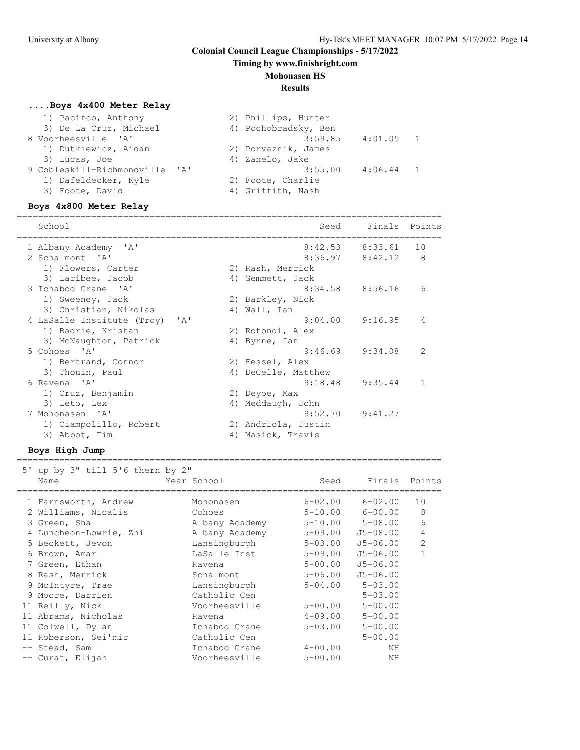## **Timing by www.finishright.com**

#### **Mohonasen HS**

#### **Results**

## **....Boys 4x400 Meter Relay**

| 1) Pacifco, Anthony            | 2) Phillips, Hunter    |
|--------------------------------|------------------------|
| 3) De La Cruz, Michael         | 4) Pochobradsky, Ben   |
| 8 Voorheesville 'A'            | 3:59.85<br>$4:01.05$ 1 |
| 1) Dutkiewicz, Aidan           | 2) Porvaznik, James    |
| 3) Lucas, Joe                  | 4) Zanelo, Jake        |
| 9 Cobleskill-Richmondville 'A' | 3:55.00<br>$4:06.44$ 1 |
| 1) Dafeldecker, Kyle           | 2) Foote, Charlie      |
| 3) Foote, David                | 4) Griffith, Nash      |
|                                |                        |

#### **Boys 4x800 Meter Relay**

| School                                     |    | Seed                | Finals Points       |                |
|--------------------------------------------|----|---------------------|---------------------|----------------|
| 1 Albany Academy 'A'                       |    | 8:42.53             | 8:33.61             | 10             |
| 2 Schalmont 'A'                            |    |                     | $8:36.97$ $8:42.12$ | 8              |
| 1) Flowers, Carter                         |    | 2) Rash, Merrick    |                     |                |
| 3) Laribee, Jacob                          |    | 4) Gemmett, Jack    |                     |                |
| 3 Ichabod Crane 'A'                        |    | 8:34.58             | 8:56.16             | 6              |
| 1) Sweeney, Jack                           |    | 2) Barkley, Nick    |                     |                |
| 3) Christian, Nikolas                      |    | 4) Wall, Ian        |                     |                |
| 4 LaSalle Institute (Troy)<br>$\mathsf{A}$ |    | 9:04.00             | 9:16.95             | $\overline{4}$ |
| 1) Badrie, Krishan                         |    | 2) Rotondi, Alex    |                     |                |
| 3) McNaughton, Patrick                     |    | 4) Byrne, Ian       |                     |                |
| 5 Cohoes 'A'                               |    | 9:46.69             | 9:34.08             | 2              |
| 1) Bertrand, Connor                        |    | 2) Fessel, Alex     |                     |                |
| 3) Thouin, Paul                            |    | 4) DeCelle, Matthew |                     |                |
| 6 Ravena 'A'                               |    | 9:18.48             | 9:35.44             | 1              |
| 1) Cruz, Benjamin                          |    | 2) Deyoe, Max       |                     |                |
| 3) Leto, Lex                               | 4) | Meddaugh, John      |                     |                |
| 7 Mohonasen 'A'                            |    | 9:52.70             | 9:41.27             |                |
| 1) Ciampolillo, Robert                     |    | 2) Andriola, Justin |                     |                |
| 3) Abbot, Tim                              | 4) | Masick, Travis      |                     |                |

| 5' up by 3" till 5'6 thern by 2" |                |             |               |                |  |  |
|----------------------------------|----------------|-------------|---------------|----------------|--|--|
| Name                             | Year School    | Seed        | Finals Points |                |  |  |
|                                  |                |             |               |                |  |  |
| 1 Farnsworth, Andrew             | Mohonasen      | $6 - 02.00$ | $6 - 02.00$   | 10             |  |  |
| 2 Williams, Nicalis              | Cohoes         | $5 - 10.00$ | $6 - 00.00$   | 8              |  |  |
| 3 Green, Sha                     | Albany Academy | $5 - 10.00$ | $5 - 08.00$   | 6              |  |  |
| 4 Luncheon-Lowrie, Zhi           | Albany Academy | 5-09.00     | $J5 - 08.00$  | 4              |  |  |
| 5 Beckett, Jevon                 | Lansingburgh   | $5 - 03.00$ | $J5 - 06.00$  | $\overline{2}$ |  |  |
| 6 Brown, Amar                    | LaSalle Inst   | $5 - 09.00$ | $J5 - 06.00$  |                |  |  |
| 7 Green, Ethan                   | Ravena         | $5 - 00.00$ | $J5 - 06.00$  |                |  |  |
| 8 Rash, Merrick                  | Schalmont      | $5 - 06.00$ | $J5 - 06.00$  |                |  |  |
| 9 McIntyre, Trae                 | Lansingburgh   | $5 - 04.00$ | $5 - 03.00$   |                |  |  |
| 9 Moore, Darrien                 | Catholic Cen   |             | $5 - 03.00$   |                |  |  |
| 11 Reilly, Nick                  | Voorheesville  | $5 - 00.00$ | $5 - 00.00$   |                |  |  |
| 11 Abrams, Nicholas              | Ravena         | $4 - 09.00$ | $5 - 00.00$   |                |  |  |
| 11 Colwell, Dylan                | Ichabod Crane  | $5 - 03.00$ | $5 - 00.00$   |                |  |  |
| 11 Roberson, Sei'mir             | Catholic Cen   |             | $5 - 00.00$   |                |  |  |
| -- Stead, Sam                    | Ichabod Crane  | $4 - 00.00$ | NH            |                |  |  |
| -- Curat, Elijah                 | Voorheesville  | $5 - 00.00$ | NΗ            |                |  |  |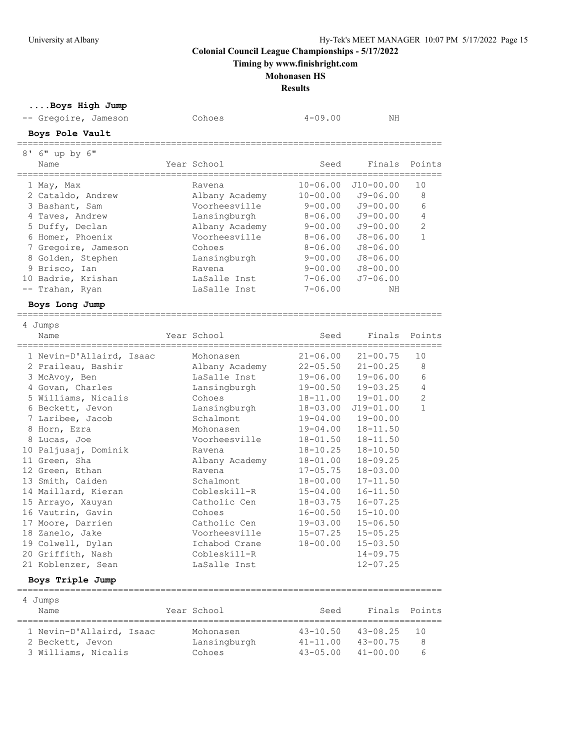**Timing by www.finishright.com**

## **Mohonasen HS**

**Results**

| Boys High Jump                      |                                     |                                              |               |                |
|-------------------------------------|-------------------------------------|----------------------------------------------|---------------|----------------|
| -- Gregoire, Jameson                | Cohoes                              | $4 - 09.00$                                  | ΝH            |                |
| Boys Pole Vault                     |                                     |                                              |               |                |
| 8' 6" up by 6"                      |                                     |                                              |               |                |
| Name                                | Year School                         | Seed                                         | Finals        | Points         |
| ==============<br>1 May, Max        | Ravena                              | $10 - 06.00$                                 | $J10-00.00$   | 10             |
| 2 Cataldo, Andrew                   | Albany Academy                      | $10 - 00.00$                                 | $J9 - 06.00$  | 8              |
| 3 Bashant, Sam                      | Voorheesville                       | $9 - 00.00$                                  | $J9 - 00.00$  | 6              |
| 4 Taves, Andrew                     | Lansingburgh                        | $8 - 06.00$                                  | $J9 - 00.00$  | $\overline{4}$ |
| 5 Duffy, Declan                     | Albany Academy                      | $9 - 00.00$                                  | $J9 - 00.00$  | $\mathbf{2}$   |
| 6 Homer, Phoenix                    | Voorheesville                       | $8 - 06.00$                                  | $J8 - 06.00$  | $\mathbf{1}$   |
| 7 Gregoire, Jameson                 | Cohoes                              | $8 - 06.00$                                  | $J8 - 06.00$  |                |
| 8 Golden, Stephen                   | Lansingburgh                        | $9 - 00.00$                                  | $J8 - 06.00$  |                |
| 9 Brisco, Ian                       | Ravena                              | $9 - 00.00$                                  | $J8 - 00.00$  |                |
| 10 Badrie, Krishan                  | LaSalle Inst                        | $7 - 06.00$                                  | J7-06.00      |                |
| -- Trahan, Ryan                     | LaSalle Inst                        | $7 - 06.00$                                  | ΝH            |                |
|                                     |                                     |                                              |               |                |
| Boys Long Jump                      |                                     |                                              |               |                |
| 4 Jumps                             |                                     |                                              |               |                |
| Name<br>--------------------------- | Year School<br>-------------------- | Seed<br>------------------------------------ | Finals        | Points         |
| 1 Nevin-D'Allaird, Isaac            | Mohonasen                           | $21 - 06.00$                                 | $21 - 00.75$  | 10             |
| 2 Praileau, Bashir                  | Albany Academy                      | $22 - 05.50$                                 | $21 - 00.25$  | 8              |
| 3 McAvoy, Ben                       | LaSalle Inst                        | $19 - 06.00$                                 | $19 - 06.00$  | 6              |
| 4 Govan, Charles                    | Lansingburgh                        | $19 - 00.50$                                 | $19 - 03.25$  | 4              |
| 5 Williams, Nicalis                 | Cohoes                              | 18-11.00                                     | $19 - 01.00$  | $\overline{2}$ |
| 6 Beckett, Jevon                    | Lansingburgh                        | $18 - 03.00$                                 | $J19 - 01.00$ | $\mathbf{1}$   |
| 7 Laribee, Jacob                    | Schalmont                           | $19 - 04.00$                                 | $19 - 00.00$  |                |
| 8 Horn, Ezra                        | Mohonasen                           | $19 - 04.00$                                 | 18-11.50      |                |
| 8 Lucas, Joe                        | Voorheesville                       | 18-01.50                                     | $18 - 11.50$  |                |
| 10 Paljusaj, Dominik                | Ravena                              | $18 - 10.25$                                 | $18 - 10.50$  |                |
| 11 Green, Sha                       | Albany Academy                      | $18 - 01.00$                                 | $18 - 09.25$  |                |
| 12 Green, Ethan                     | Ravena                              | $17 - 05.75$                                 | $18 - 03.00$  |                |
| 13 Smith, Caiden                    | Schalmont                           | $18 - 00.00$                                 | $17 - 11.50$  |                |
| 14 Maillard, Kieran                 | Cobleskill-R                        | $15 - 04.00$                                 | $16 - 11.50$  |                |
| 15 Arrayo, Xauyan                   | Catholic Cen                        | $18 - 03.75$                                 | $16 - 07.25$  |                |
| 16 Vautrin, Gavin                   | Cohoes                              | $16 - 00.50$                                 | $15 - 10.00$  |                |
| 17 Moore, Darrien                   | Catholic Cen                        | $19 - 03.00$                                 | $15 - 06.50$  |                |
| 18 Zanelo, Jake                     | Voorheesville                       | $15 - 07.25$                                 | $15 - 05.25$  |                |
| 19 Colwell, Dylan                   | Ichabod Crane                       | $18 - 00.00$                                 | $15 - 03.50$  |                |
| 20 Griffith, Nash                   | Cobleskill-R                        |                                              | $14 - 09.75$  |                |
| 21 Koblenzer, Sean                  | LaSalle Inst                        |                                              | $12 - 07.25$  |                |
| Boys Triple Jump                    |                                     |                                              |               |                |
| ===============                     |                                     | =======================                      |               |                |
| 4 Jumps<br>Name                     | Year School                         | Seed                                         | Finals        | Points         |
|                                     |                                     |                                              |               |                |
| 1 Nevin-D'Allaird, Isaac            | Mohonasen                           | $43 - 10.50$                                 | 43-08.25      | 10             |
| 2 Beckett, Jevon                    | Lansingburgh                        | $41 - 11.00$                                 | $43 - 00.75$  | 8              |
| 3 Williams, Nicalis                 | Cohoes                              | $43 - 05.00$                                 | $41 - 00.00$  | 6              |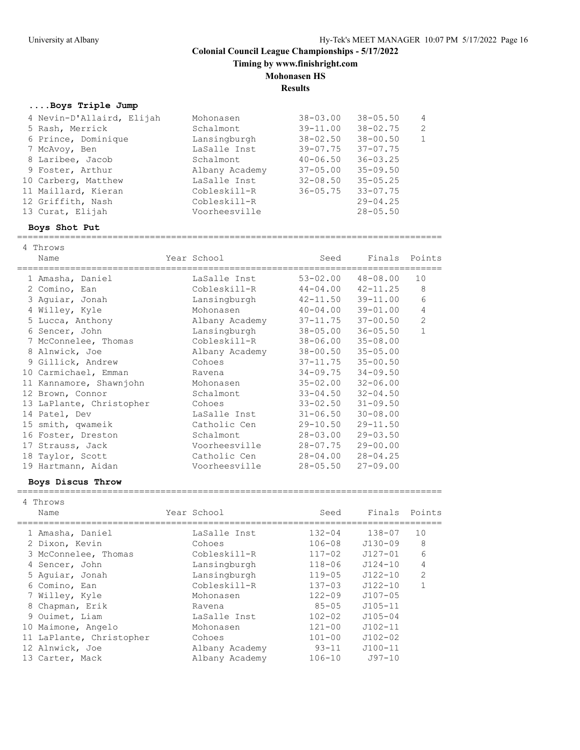**Timing by www.finishright.com**

## **Mohonasen HS**

**Results**

## **....Boys Triple Jump**

| 4 Nevin-D'Allaird, Elijah | Mohonasen      | $38 - 03.00$ | $38 - 05.50$ | 4 |
|---------------------------|----------------|--------------|--------------|---|
| 5 Rash, Merrick           | Schalmont      | $39 - 11.00$ | $38 - 02.75$ | 2 |
| 6 Prince, Dominique       | Lansingburgh   | $38 - 02.50$ | $38 - 00.50$ |   |
| 7 McAvoy, Ben             | LaSalle Inst   | $39 - 07.75$ | $37 - 07.75$ |   |
| 8 Laribee, Jacob          | Schalmont      | $40 - 06.50$ | $36 - 03.25$ |   |
| 9 Foster, Arthur          | Albany Academy | $37 - 05.00$ | $35 - 09.50$ |   |
| 10 Carberg, Matthew       | LaSalle Inst   | $32 - 08.50$ | $35 - 05.25$ |   |
| 11 Maillard, Kieran       | Cobleskill-R   | $36 - 05.75$ | $33 - 07.75$ |   |
| 12 Griffith, Nash         | Cobleskill-R   |              | $29 - 04.25$ |   |
| 13 Curat, Elijah          | Voorheesville  |              | $28 - 05.50$ |   |
|                           |                |              |              |   |

#### **Boys Shot Put**

================================================================================

| 4 Throws<br>Name<br>==================== | Year School    | Seed<br>======================== | Finals Points |                |
|------------------------------------------|----------------|----------------------------------|---------------|----------------|
| 1 Amasha, Daniel                         | LaSalle Inst   | $53 - 02.00$                     | $48 - 08.00$  | 10             |
| 2 Comino, Ean                            | Cobleskill-R   | $44 - 04.00$                     | $42 - 11.25$  | 8              |
| 3 Aguiar, Jonah                          | Lansingburgh   | $42 - 11.50$                     | $39 - 11.00$  | 6              |
| 4 Willey, Kyle                           | Mohonasen      | $40 - 04.00$                     | $39 - 01.00$  | 4              |
| 5 Lucca, Anthony                         | Albany Academy | $37 - 11.75$ $37 - 00.50$        |               | $\overline{c}$ |
| 6 Sencer, John                           | Lansingburgh   | 38-05.00                         | $36 - 05.50$  | $\mathbf{1}$   |
| 7 McConnelee, Thomas                     | Cobleskill-R   | 38-06.00                         | $35 - 08.00$  |                |
| 8 Alnwick, Joe                           | Albany Academy | $38 - 00.50$ $35 - 05.00$        |               |                |
| 9 Gillick, Andrew                        | Cohoes         | $37 - 11.75$                     | $35 - 00.50$  |                |
| 10 Carmichael, Emman                     | Ravena         | 34-09.75                         | $34 - 09.50$  |                |
| 11 Kannamore, Shawnjohn                  | Mohonasen      | $35 - 02.00$                     | $32 - 06.00$  |                |
| 12 Brown, Connor                         | Schalmont      | $33 - 04.50$                     | $32 - 04.50$  |                |
| 13 LaPlante, Christopher                 | Cohoes         | 33-02.50                         | $31 - 09.50$  |                |
| 14 Patel, Dev                            | LaSalle Inst   | $31 - 06.50$                     | $30 - 08.00$  |                |
| 15 smith, qwameik                        | Catholic Cen   | 29-10.50                         | $29 - 11.50$  |                |
| 16 Foster, Dreston                       | Schalmont      | 28-03.00                         | $29 - 03.50$  |                |
| 17 Strauss, Jack                         | Voorheesville  | 28-07.75                         | $29 - 00.00$  |                |
| 18 Taylor, Scott                         | Catholic Cen   | 28-04.00                         | $28 - 04.25$  |                |
| 19 Hartmann, Aidan                       | Voorheesville  | $28 - 05.50$                     | $27 - 09.00$  |                |

#### **Boys Discus Throw**

| 4 Throws<br>Name         | Year School    | Seed       | Finals Points |                |
|--------------------------|----------------|------------|---------------|----------------|
|                          |                |            |               |                |
| 1 Amasha, Daniel         | LaSalle Inst   | $132 - 04$ | $138 - 07$    | 10             |
| 2 Dixon, Kevin           | Cohoes         | $106 - 08$ | $J130 - 09$   | 8              |
| 3 McConnelee, Thomas     | Cobleskill-R   | $117 - 02$ | $J127 - 01$   | 6              |
| 4 Sencer, John           | Lansingburgh   | $118 - 06$ | $J124 - 10$   | 4              |
| 5 Aquiar, Jonah          | Lansingburgh   | $119 - 05$ | $J122 - 10$   | $\overline{2}$ |
| 6 Comino, Ean            | Cobleskill-R   | $137 - 03$ | $J122 - 10$   | $\mathbf{1}$   |
| 7 Willey, Kyle           | Mohonasen      | $122 - 09$ | $J107 - 05$   |                |
| 8 Chapman, Erik          | Ravena         | $85 - 05$  | $J105 - 11$   |                |
| 9 Ouimet, Liam           | LaSalle Inst   | $102 - 02$ | $J105 - 04$   |                |
| 10 Maimone, Angelo       | Mohonasen      | $121 - 00$ | $J102 - 11$   |                |
| 11 LaPlante, Christopher | Cohoes         | $101 - 00$ | $J102 - 02$   |                |
| 12 Alnwick, Joe          | Albany Academy | $93 - 11$  | $J100 - 11$   |                |
| 13 Carter, Mack          | Albany Academy | $106 - 10$ | $J97 - 10$    |                |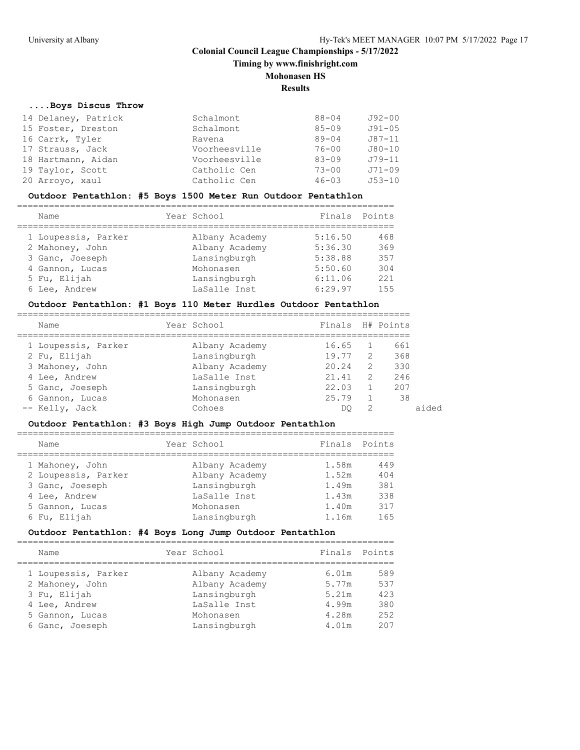**Timing by www.finishright.com**

## **Mohonasen HS**

#### **Results**

#### **....Boys Discus Throw**

| 14 Delaney, Patrick | Schalmont     | $88 - 04$ | J92-00     |
|---------------------|---------------|-----------|------------|
| 15 Foster, Dreston  | Schalmont     | $85 - 09$ | $J91 - 05$ |
| 16 Carrk, Tyler     | Ravena        | $89 - 04$ | J87-11     |
| 17 Strauss, Jack    | Voorheesville | $76 - 00$ | $J80 - 10$ |
| 18 Hartmann, Aidan  | Voorheesville | $83 - 09$ | $J79 - 11$ |
| 19 Taylor, Scott    | Catholic Cen  | $73 - 00$ | $J71 - 09$ |
| 20 Arroyo, xaul     | Catholic Cen  | $46 - 03$ | $J53 - 10$ |

## **Outdoor Pentathlon: #5 Boys 1500 Meter Run Outdoor Pentathlon**

| Name                | Year School    | Finals  | Points |
|---------------------|----------------|---------|--------|
| 1 Loupessis, Parker | Albany Academy | 5:16.50 | 468    |
| 2 Mahoney, John     | Albany Academy | 5:36.30 | 369    |
| 3 Ganc, Joeseph     | Lansingburgh   | 5:38.88 | 357    |
| 4 Gannon, Lucas     | Mohonasen      | 5:50.60 | 304    |
| 5 Fu, Elijah        | Lansingburgh   | 6:11.06 | 221    |
| 6 Lee, Andrew       | LaSalle Inst   | 6:29.97 | 155    |

# **Outdoor Pentathlon: #1 Boys 110 Meter Hurdles Outdoor Pentathlon**

| Name                | Year School    | Finals H# Points |               |     |
|---------------------|----------------|------------------|---------------|-----|
| 1 Loupessis, Parker | Albany Academy | 16.65            |               | 661 |
| 2 Fu, Elijah        | Lansingburgh   | 19.77            | 2             | 368 |
| 3 Mahoney, John     | Albany Academy | 20.24            | 2             | 330 |
| 4 Lee, Andrew       | LaSalle Inst   | 21.41            | $\mathcal{L}$ | 246 |
| 5 Ganc, Joeseph     | Lansingburgh   | 22.03            |               | 207 |
| 6 Gannon, Lucas     | Mohonasen      | 25.79            |               | 38  |
| -- Kelly, Jack      | Cohoes         | DO               | 2             |     |
|                     |                |                  |               |     |

## **Outdoor Pentathlon: #3 Boys High Jump Outdoor Pentathlon**

| Name                                   | Year School                      | Finals         | Points     |
|----------------------------------------|----------------------------------|----------------|------------|
| 1 Mahoney, John<br>2 Loupessis, Parker | Albany Academy<br>Albany Academy | 1.58m<br>1.52m | 449<br>404 |
| 3 Ganc, Joeseph                        | Lansingburgh                     | 1.49m          | 381        |
| 4 Lee, Andrew                          | LaSalle Inst                     | 1.43m          | 338        |
| 5 Gannon, Lucas                        | Mohonasen                        | 1.40m          | 317        |
| 6 Fu, Elijah                           | Lansingburgh                     | 1.16m          | 165        |

## **Outdoor Pentathlon: #4 Boys Long Jump Outdoor Pentathlon**

| Name                               | Year School                    | Finals         | Points     |
|------------------------------------|--------------------------------|----------------|------------|
| 1 Loupessis, Parker                | Albany Academy                 | 6.01m          | 589        |
| 2 Mahoney, John<br>3 Fu, Elijah    | Albany Academy<br>Lansingburgh | 5.77m<br>5.21m | 537<br>423 |
| 4 Lee, Andrew                      | LaSalle Inst                   | 4.99m          | 380        |
| 5 Gannon, Lucas<br>6 Ganc, Joeseph | Mohonasen<br>Lansingburgh      | 4.28m<br>4.01m | 252<br>207 |
|                                    |                                |                |            |